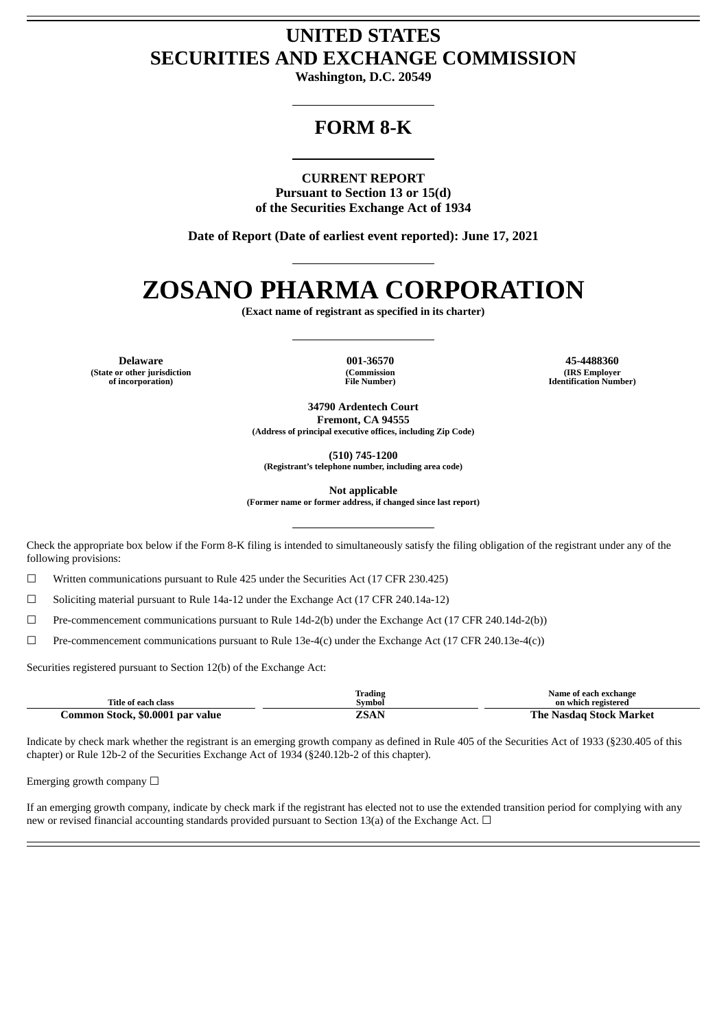# **UNITED STATES SECURITIES AND EXCHANGE COMMISSION**

**Washington, D.C. 20549**

# **FORM 8-K**

**CURRENT REPORT**

**Pursuant to Section 13 or 15(d) of the Securities Exchange Act of 1934**

**Date of Report (Date of earliest event reported): June 17, 2021**

# **ZOSANO PHARMA CORPORATION**

**(Exact name of registrant as specified in its charter)**

**Delaware 001-36570 45-4488360 (State or other jurisdiction of incorporation)**

**(Commission File Number)**

**(IRS Employer Identification Number)**

**34790 Ardentech Court Fremont, CA 94555 (Address of principal executive offices, including Zip Code)**

**(510) 745-1200**

**(Registrant's telephone number, including area code)**

**Not applicable**

**(Former name or former address, if changed since last report)**

Check the appropriate box below if the Form 8-K filing is intended to simultaneously satisfy the filing obligation of the registrant under any of the following provisions:

☐ Written communications pursuant to Rule 425 under the Securities Act (17 CFR 230.425)

 $\Box$  Soliciting material pursuant to Rule 14a-12 under the Exchange Act (17 CFR 240.14a-12)

☐ Pre-commencement communications pursuant to Rule 14d-2(b) under the Exchange Act (17 CFR 240.14d-2(b))

☐ Pre-commencement communications pursuant to Rule 13e-4(c) under the Exchange Act (17 CFR 240.13e-4(c))

Securities registered pursuant to Section 12(b) of the Exchange Act:

| Title of each class              | <b>Trading</b><br>Svmbol | Name of each exchange<br>on which registered |
|----------------------------------|--------------------------|----------------------------------------------|
| Common Stock, \$0.0001 par value | ZSAN                     | The Nasdag Stock Market                      |

Indicate by check mark whether the registrant is an emerging growth company as defined in Rule 405 of the Securities Act of 1933 (§230.405 of this chapter) or Rule 12b-2 of the Securities Exchange Act of 1934 (§240.12b-2 of this chapter).

Emerging growth company ☐

If an emerging growth company, indicate by check mark if the registrant has elected not to use the extended transition period for complying with any new or revised financial accounting standards provided pursuant to Section 13(a) of the Exchange Act. □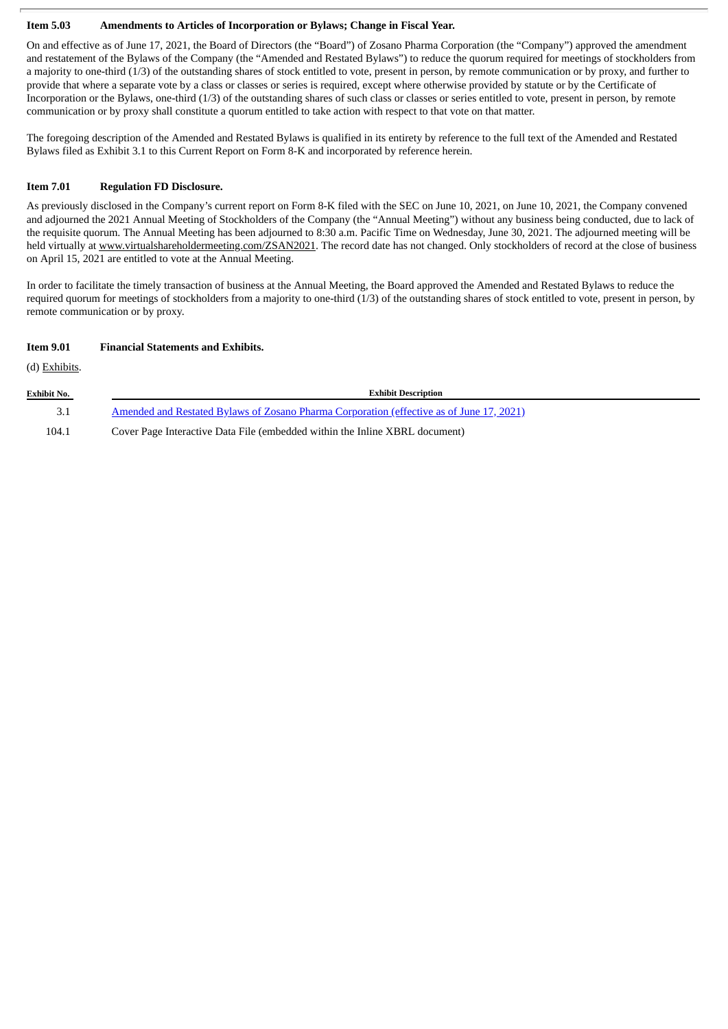# **Item 5.03 Amendments to Articles of Incorporation or Bylaws; Change in Fiscal Year.**

On and effective as of June 17, 2021, the Board of Directors (the "Board") of Zosano Pharma Corporation (the "Company") approved the amendment and restatement of the Bylaws of the Company (the "Amended and Restated Bylaws") to reduce the quorum required for meetings of stockholders from a majority to one-third (1/3) of the outstanding shares of stock entitled to vote, present in person, by remote communication or by proxy, and further to provide that where a separate vote by a class or classes or series is required, except where otherwise provided by statute or by the Certificate of Incorporation or the Bylaws, one-third (1/3) of the outstanding shares of such class or classes or series entitled to vote, present in person, by remote communication or by proxy shall constitute a quorum entitled to take action with respect to that vote on that matter.

The foregoing description of the Amended and Restated Bylaws is qualified in its entirety by reference to the full text of the Amended and Restated Bylaws filed as Exhibit 3.1 to this Current Report on Form 8-K and incorporated by reference herein.

#### **Item 7.01 Regulation FD Disclosure.**

As previously disclosed in the Company's current report on Form 8-K filed with the SEC on June 10, 2021, on June 10, 2021, the Company convened and adjourned the 2021 Annual Meeting of Stockholders of the Company (the "Annual Meeting") without any business being conducted, due to lack of the requisite quorum. The Annual Meeting has been adjourned to 8:30 a.m. Pacific Time on Wednesday, June 30, 2021. The adjourned meeting will be held virtually at www.virtualshareholdermeeting.com/ZSAN2021</u>. The record date has not changed. Only stockholders of record at the close of business on April 15, 2021 are entitled to vote at the Annual Meeting.

In order to facilitate the timely transaction of business at the Annual Meeting, the Board approved the Amended and Restated Bylaws to reduce the required quorum for meetings of stockholders from a majority to one-third (1/3) of the outstanding shares of stock entitled to vote, present in person, by remote communication or by proxy.

# **Item 9.01 Financial Statements and Exhibits.**

(d) Exhibits.

| <b>Exhibit No.</b> | <b>Exhibit Description</b>                                                               |
|--------------------|------------------------------------------------------------------------------------------|
| 3.1                | Amended and Restated Bylaws of Zosano Pharma Corporation (effective as of June 17, 2021) |
| 104.1              | Cover Page Interactive Data File (embedded within the Inline XBRL document)              |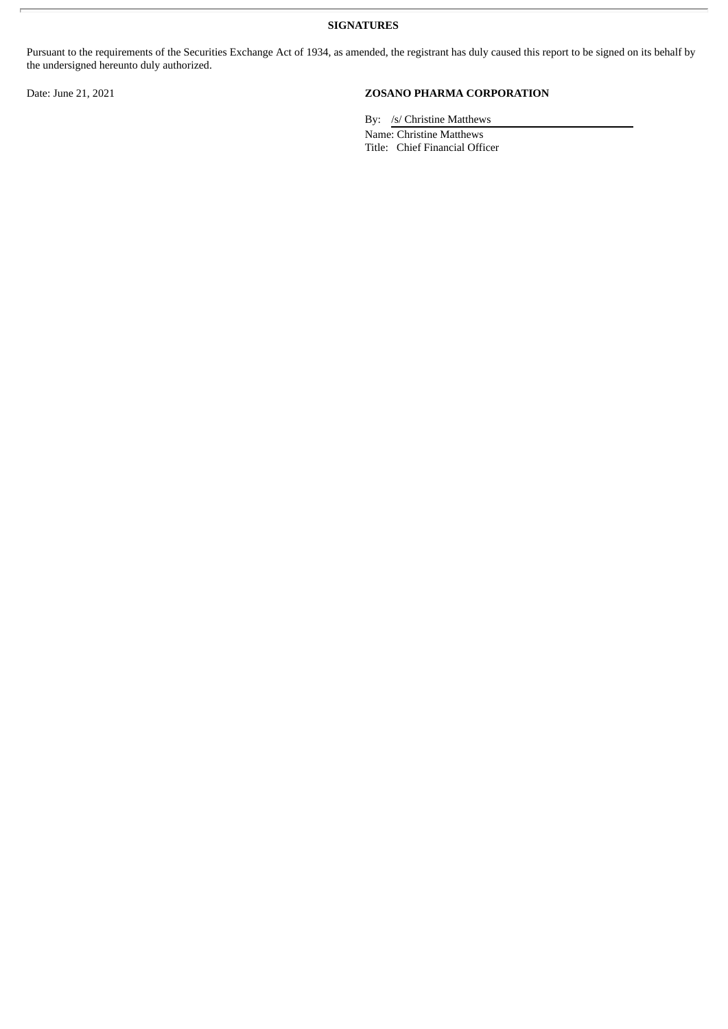**SIGNATURES**

Pursuant to the requirements of the Securities Exchange Act of 1934, as amended, the registrant has duly caused this report to be signed on its behalf by the undersigned hereunto duly authorized.

# Date: June 21, 2021 **ZOSANO PHARMA CORPORATION**

By: /s/ Christine Matthews

Name: Christine Matthews Title: Chief Financial Officer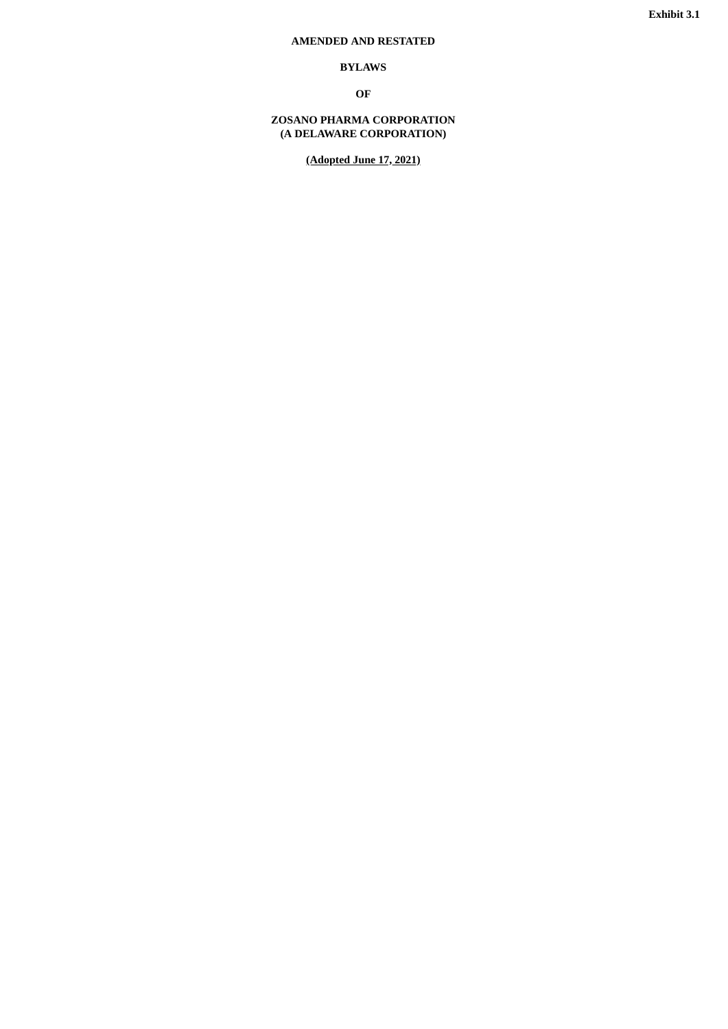# **AMENDED AND RESTATED**

# **BYLAWS**

**OF**

# <span id="page-3-0"></span>**ZOSANO PHARMA CORPORATION (A DELAWARE CORPORATION)**

**(Adopted June 17, 2021)**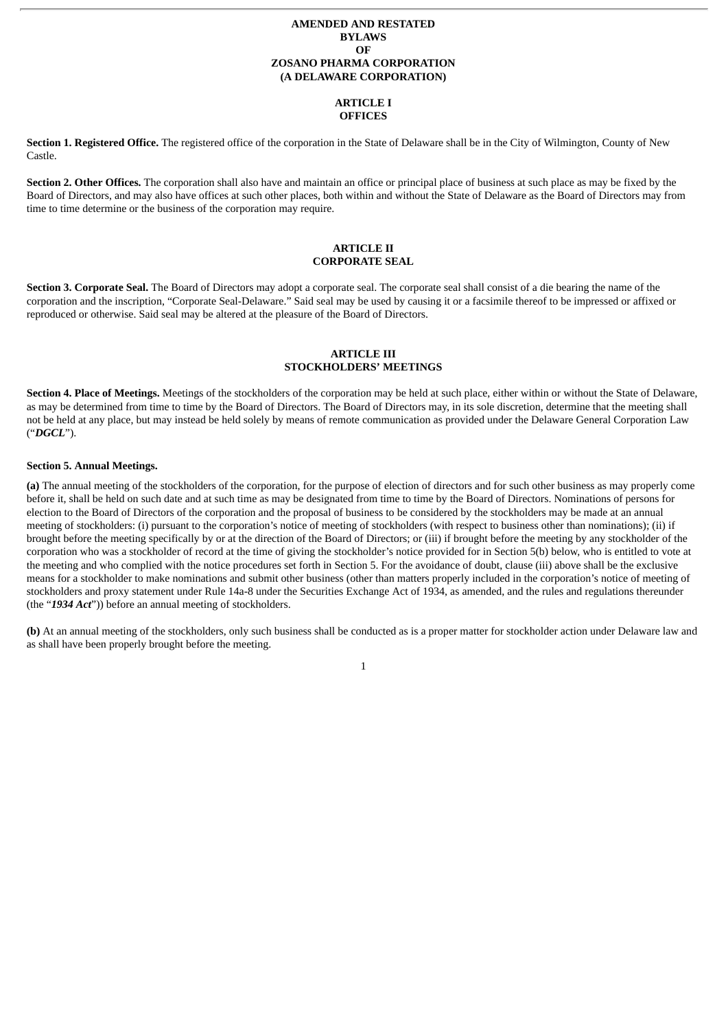# **AMENDED AND RESTATED BYLAWS OF ZOSANO PHARMA CORPORATION (A DELAWARE CORPORATION)**

# **ARTICLE I OFFICES**

**Section 1. Registered Office.** The registered office of the corporation in the State of Delaware shall be in the City of Wilmington, County of New Castle.

**Section 2. Other Offices.** The corporation shall also have and maintain an office or principal place of business at such place as may be fixed by the Board of Directors, and may also have offices at such other places, both within and without the State of Delaware as the Board of Directors may from time to time determine or the business of the corporation may require.

# **ARTICLE II CORPORATE SEAL**

**Section 3. Corporate Seal.** The Board of Directors may adopt a corporate seal. The corporate seal shall consist of a die bearing the name of the corporation and the inscription, "Corporate Seal-Delaware." Said seal may be used by causing it or a facsimile thereof to be impressed or affixed or reproduced or otherwise. Said seal may be altered at the pleasure of the Board of Directors.

# **ARTICLE III STOCKHOLDERS' MEETINGS**

**Section 4. Place of Meetings.** Meetings of the stockholders of the corporation may be held at such place, either within or without the State of Delaware, as may be determined from time to time by the Board of Directors. The Board of Directors may, in its sole discretion, determine that the meeting shall not be held at any place, but may instead be held solely by means of remote communication as provided under the Delaware General Corporation Law ("*DGCL*").

#### **Section 5. Annual Meetings.**

**(a)** The annual meeting of the stockholders of the corporation, for the purpose of election of directors and for such other business as may properly come before it, shall be held on such date and at such time as may be designated from time to time by the Board of Directors. Nominations of persons for election to the Board of Directors of the corporation and the proposal of business to be considered by the stockholders may be made at an annual meeting of stockholders: (i) pursuant to the corporation's notice of meeting of stockholders (with respect to business other than nominations); (ii) if brought before the meeting specifically by or at the direction of the Board of Directors; or (iii) if brought before the meeting by any stockholder of the corporation who was a stockholder of record at the time of giving the stockholder's notice provided for in Section 5(b) below, who is entitled to vote at the meeting and who complied with the notice procedures set forth in Section 5. For the avoidance of doubt, clause (iii) above shall be the exclusive means for a stockholder to make nominations and submit other business (other than matters properly included in the corporation's notice of meeting of stockholders and proxy statement under Rule 14a-8 under the Securities Exchange Act of 1934, as amended, and the rules and regulations thereunder (the "*1934 Act*")) before an annual meeting of stockholders.

**(b)** At an annual meeting of the stockholders, only such business shall be conducted as is a proper matter for stockholder action under Delaware law and as shall have been properly brought before the meeting.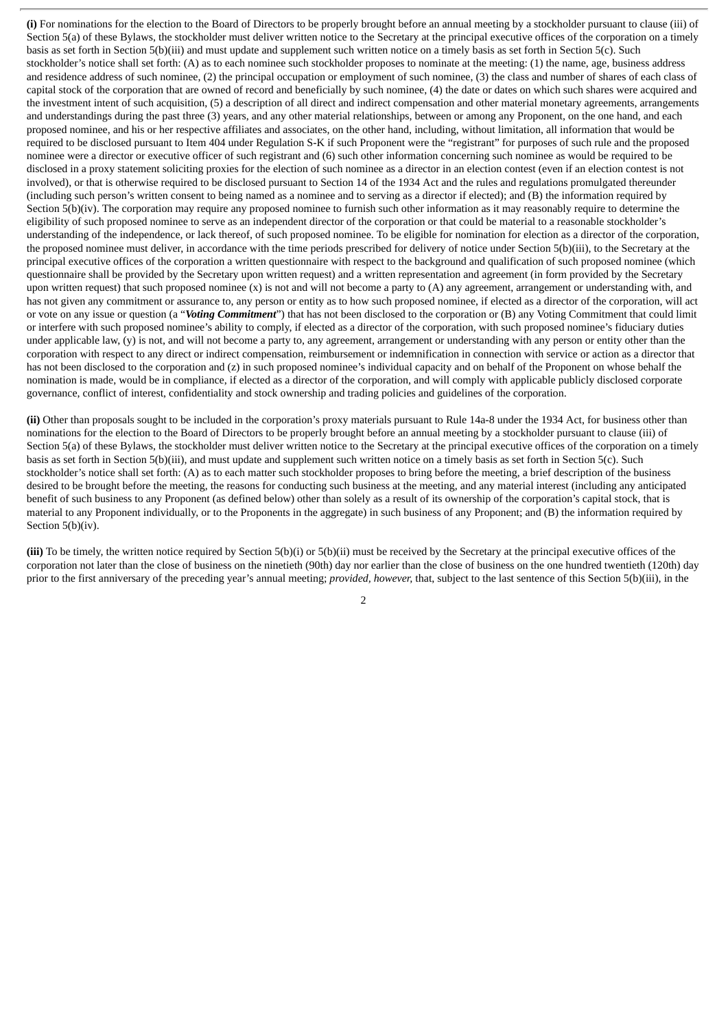**(i)** For nominations for the election to the Board of Directors to be properly brought before an annual meeting by a stockholder pursuant to clause (iii) of Section 5(a) of these Bylaws, the stockholder must deliver written notice to the Secretary at the principal executive offices of the corporation on a timely basis as set forth in Section 5(b)(iii) and must update and supplement such written notice on a timely basis as set forth in Section 5(c). Such stockholder's notice shall set forth: (A) as to each nominee such stockholder proposes to nominate at the meeting: (1) the name, age, business address and residence address of such nominee, (2) the principal occupation or employment of such nominee, (3) the class and number of shares of each class of capital stock of the corporation that are owned of record and beneficially by such nominee, (4) the date or dates on which such shares were acquired and the investment intent of such acquisition, (5) a description of all direct and indirect compensation and other material monetary agreements, arrangements and understandings during the past three (3) years, and any other material relationships, between or among any Proponent, on the one hand, and each proposed nominee, and his or her respective affiliates and associates, on the other hand, including, without limitation, all information that would be required to be disclosed pursuant to Item 404 under Regulation S-K if such Proponent were the "registrant" for purposes of such rule and the proposed nominee were a director or executive officer of such registrant and (6) such other information concerning such nominee as would be required to be disclosed in a proxy statement soliciting proxies for the election of such nominee as a director in an election contest (even if an election contest is not involved), or that is otherwise required to be disclosed pursuant to Section 14 of the 1934 Act and the rules and regulations promulgated thereunder (including such person's written consent to being named as a nominee and to serving as a director if elected); and (B) the information required by Section 5(b)(iv). The corporation may require any proposed nominee to furnish such other information as it may reasonably require to determine the eligibility of such proposed nominee to serve as an independent director of the corporation or that could be material to a reasonable stockholder's understanding of the independence, or lack thereof, of such proposed nominee. To be eligible for nomination for election as a director of the corporation, the proposed nominee must deliver, in accordance with the time periods prescribed for delivery of notice under Section 5(b)(iii), to the Secretary at the principal executive offices of the corporation a written questionnaire with respect to the background and qualification of such proposed nominee (which questionnaire shall be provided by the Secretary upon written request) and a written representation and agreement (in form provided by the Secretary upon written request) that such proposed nominee  $(x)$  is not and will not become a party to  $(A)$  any agreement, arrangement or understanding with, and has not given any commitment or assurance to, any person or entity as to how such proposed nominee, if elected as a director of the corporation, will act or vote on any issue or question (a "*Voting Commitment*") that has not been disclosed to the corporation or (B) any Voting Commitment that could limit or interfere with such proposed nominee's ability to comply, if elected as a director of the corporation, with such proposed nominee's fiduciary duties under applicable law,  $(y)$  is not, and will not become a party to, any agreement, arrangement or understanding with any person or entity other than the corporation with respect to any direct or indirect compensation, reimbursement or indemnification in connection with service or action as a director that has not been disclosed to the corporation and (z) in such proposed nominee's individual capacity and on behalf of the Proponent on whose behalf the nomination is made, would be in compliance, if elected as a director of the corporation, and will comply with applicable publicly disclosed corporate governance, conflict of interest, confidentiality and stock ownership and trading policies and guidelines of the corporation.

**(ii)** Other than proposals sought to be included in the corporation's proxy materials pursuant to Rule 14a-8 under the 1934 Act, for business other than nominations for the election to the Board of Directors to be properly brought before an annual meeting by a stockholder pursuant to clause (iii) of Section 5(a) of these Bylaws, the stockholder must deliver written notice to the Secretary at the principal executive offices of the corporation on a timely basis as set forth in Section 5(b)(iii), and must update and supplement such written notice on a timely basis as set forth in Section 5(c). Such stockholder's notice shall set forth: (A) as to each matter such stockholder proposes to bring before the meeting, a brief description of the business desired to be brought before the meeting, the reasons for conducting such business at the meeting, and any material interest (including any anticipated benefit of such business to any Proponent (as defined below) other than solely as a result of its ownership of the corporation's capital stock, that is material to any Proponent individually, or to the Proponents in the aggregate) in such business of any Proponent; and (B) the information required by Section 5(b)(iv).

**(iii)** To be timely, the written notice required by Section 5(b)(i) or 5(b)(ii) must be received by the Secretary at the principal executive offices of the corporation not later than the close of business on the ninetieth (90th) day nor earlier than the close of business on the one hundred twentieth (120th) day prior to the first anniversary of the preceding year's annual meeting; *provided, however,* that, subject to the last sentence of this Section 5(b)(iii), in the

 $\overline{2}$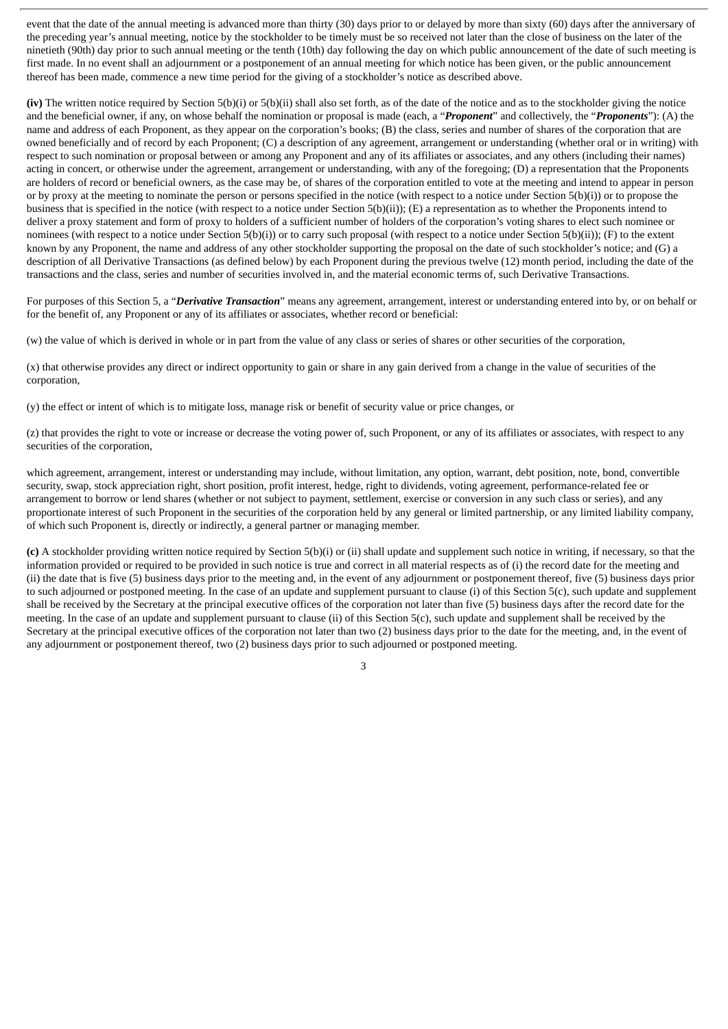event that the date of the annual meeting is advanced more than thirty (30) days prior to or delayed by more than sixty (60) days after the anniversary of the preceding year's annual meeting, notice by the stockholder to be timely must be so received not later than the close of business on the later of the ninetieth (90th) day prior to such annual meeting or the tenth (10th) day following the day on which public announcement of the date of such meeting is first made. In no event shall an adjournment or a postponement of an annual meeting for which notice has been given, or the public announcement thereof has been made, commence a new time period for the giving of a stockholder's notice as described above.

**(iv)** The written notice required by Section 5(b)(i) or 5(b)(ii) shall also set forth, as of the date of the notice and as to the stockholder giving the notice and the beneficial owner, if any, on whose behalf the nomination or proposal is made (each, a "*Proponent*" and collectively, the "*Proponents*"): (A) the name and address of each Proponent, as they appear on the corporation's books; (B) the class, series and number of shares of the corporation that are owned beneficially and of record by each Proponent; (C) a description of any agreement, arrangement or understanding (whether oral or in writing) with respect to such nomination or proposal between or among any Proponent and any of its affiliates or associates, and any others (including their names) acting in concert, or otherwise under the agreement, arrangement or understanding, with any of the foregoing; (D) a representation that the Proponents are holders of record or beneficial owners, as the case may be, of shares of the corporation entitled to vote at the meeting and intend to appear in person or by proxy at the meeting to nominate the person or persons specified in the notice (with respect to a notice under Section 5(b)(i)) or to propose the business that is specified in the notice (with respect to a notice under Section 5(b)(ii)); (E) a representation as to whether the Proponents intend to deliver a proxy statement and form of proxy to holders of a sufficient number of holders of the corporation's voting shares to elect such nominee or nominees (with respect to a notice under Section 5(b)(i)) or to carry such proposal (with respect to a notice under Section 5(b)(ii)); (F) to the extent known by any Proponent, the name and address of any other stockholder supporting the proposal on the date of such stockholder's notice; and (G) a description of all Derivative Transactions (as defined below) by each Proponent during the previous twelve (12) month period, including the date of the transactions and the class, series and number of securities involved in, and the material economic terms of, such Derivative Transactions.

For purposes of this Section 5, a "*Derivative Transaction*" means any agreement, arrangement, interest or understanding entered into by, or on behalf or for the benefit of, any Proponent or any of its affiliates or associates, whether record or beneficial:

(w) the value of which is derived in whole or in part from the value of any class or series of shares or other securities of the corporation,

(x) that otherwise provides any direct or indirect opportunity to gain or share in any gain derived from a change in the value of securities of the corporation,

(y) the effect or intent of which is to mitigate loss, manage risk or benefit of security value or price changes, or

(z) that provides the right to vote or increase or decrease the voting power of, such Proponent, or any of its affiliates or associates, with respect to any securities of the corporation,

which agreement, arrangement, interest or understanding may include, without limitation, any option, warrant, debt position, note, bond, convertible security, swap, stock appreciation right, short position, profit interest, hedge, right to dividends, voting agreement, performance-related fee or arrangement to borrow or lend shares (whether or not subject to payment, settlement, exercise or conversion in any such class or series), and any proportionate interest of such Proponent in the securities of the corporation held by any general or limited partnership, or any limited liability company, of which such Proponent is, directly or indirectly, a general partner or managing member.

**(c)** A stockholder providing written notice required by Section 5(b)(i) or (ii) shall update and supplement such notice in writing, if necessary, so that the information provided or required to be provided in such notice is true and correct in all material respects as of (i) the record date for the meeting and (ii) the date that is five (5) business days prior to the meeting and, in the event of any adjournment or postponement thereof, five (5) business days prior to such adjourned or postponed meeting. In the case of an update and supplement pursuant to clause (i) of this Section 5(c), such update and supplement shall be received by the Secretary at the principal executive offices of the corporation not later than five (5) business days after the record date for the meeting. In the case of an update and supplement pursuant to clause (ii) of this Section 5(c), such update and supplement shall be received by the Secretary at the principal executive offices of the corporation not later than two (2) business days prior to the date for the meeting, and, in the event of any adjournment or postponement thereof, two (2) business days prior to such adjourned or postponed meeting.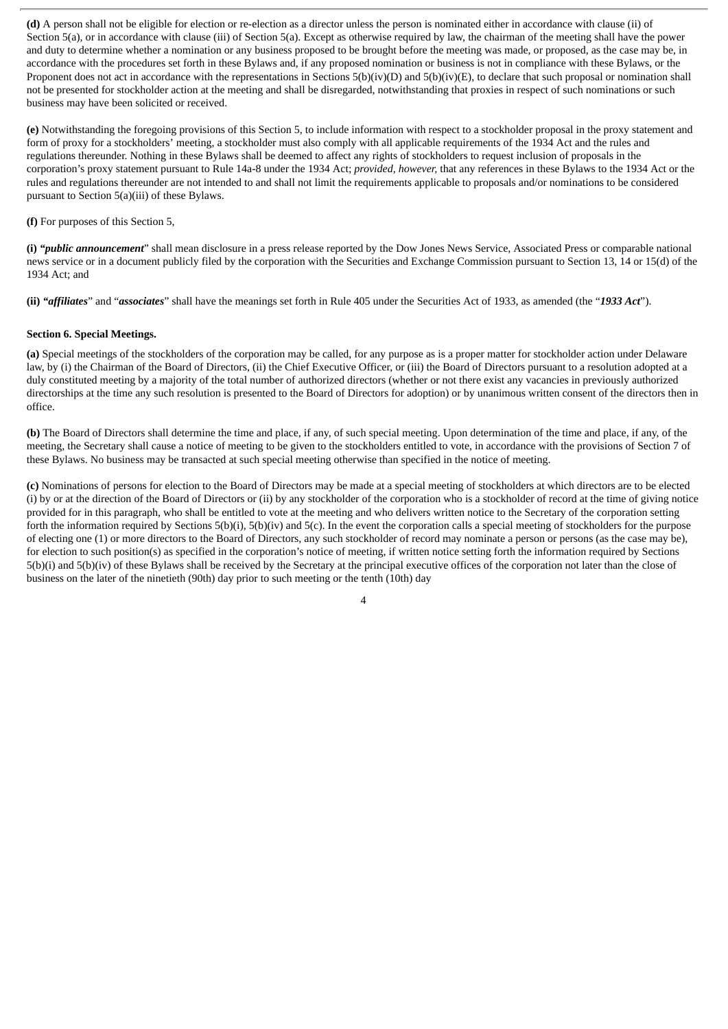**(d)** A person shall not be eligible for election or re-election as a director unless the person is nominated either in accordance with clause (ii) of Section 5(a), or in accordance with clause (iii) of Section 5(a). Except as otherwise required by law, the chairman of the meeting shall have the power and duty to determine whether a nomination or any business proposed to be brought before the meeting was made, or proposed, as the case may be, in accordance with the procedures set forth in these Bylaws and, if any proposed nomination or business is not in compliance with these Bylaws, or the Proponent does not act in accordance with the representations in Sections 5(b)(iv)(D) and 5(b)(iv)(E), to declare that such proposal or nomination shall not be presented for stockholder action at the meeting and shall be disregarded, notwithstanding that proxies in respect of such nominations or such business may have been solicited or received.

**(e)** Notwithstanding the foregoing provisions of this Section 5, to include information with respect to a stockholder proposal in the proxy statement and form of proxy for a stockholders' meeting, a stockholder must also comply with all applicable requirements of the 1934 Act and the rules and regulations thereunder. Nothing in these Bylaws shall be deemed to affect any rights of stockholders to request inclusion of proposals in the corporation's proxy statement pursuant to Rule 14a-8 under the 1934 Act; *provided, however,* that any references in these Bylaws to the 1934 Act or the rules and regulations thereunder are not intended to and shall not limit the requirements applicable to proposals and/or nominations to be considered pursuant to Section 5(a)(iii) of these Bylaws.

**(f)** For purposes of this Section 5,

**(i)** *"public announcement*" shall mean disclosure in a press release reported by the Dow Jones News Service, Associated Press or comparable national news service or in a document publicly filed by the corporation with the Securities and Exchange Commission pursuant to Section 13, 14 or 15(d) of the 1934 Act; and

**(ii)** *"affiliates*" and "*associates*" shall have the meanings set forth in Rule 405 under the Securities Act of 1933, as amended (the "*1933 Act*").

#### **Section 6. Special Meetings.**

**(a)** Special meetings of the stockholders of the corporation may be called, for any purpose as is a proper matter for stockholder action under Delaware law, by (i) the Chairman of the Board of Directors, (ii) the Chief Executive Officer, or (iii) the Board of Directors pursuant to a resolution adopted at a duly constituted meeting by a majority of the total number of authorized directors (whether or not there exist any vacancies in previously authorized directorships at the time any such resolution is presented to the Board of Directors for adoption) or by unanimous written consent of the directors then in office.

**(b)** The Board of Directors shall determine the time and place, if any, of such special meeting. Upon determination of the time and place, if any, of the meeting, the Secretary shall cause a notice of meeting to be given to the stockholders entitled to vote, in accordance with the provisions of Section 7 of these Bylaws. No business may be transacted at such special meeting otherwise than specified in the notice of meeting.

**(c)** Nominations of persons for election to the Board of Directors may be made at a special meeting of stockholders at which directors are to be elected (i) by or at the direction of the Board of Directors or (ii) by any stockholder of the corporation who is a stockholder of record at the time of giving notice provided for in this paragraph, who shall be entitled to vote at the meeting and who delivers written notice to the Secretary of the corporation setting forth the information required by Sections  $5(b)(i)$ ,  $5(b)(iv)$  and  $5(c)$ . In the event the corporation calls a special meeting of stockholders for the purpose of electing one (1) or more directors to the Board of Directors, any such stockholder of record may nominate a person or persons (as the case may be), for election to such position(s) as specified in the corporation's notice of meeting, if written notice setting forth the information required by Sections 5(b)(i) and 5(b)(iv) of these Bylaws shall be received by the Secretary at the principal executive offices of the corporation not later than the close of business on the later of the ninetieth (90th) day prior to such meeting or the tenth (10th) day

 $\overline{A}$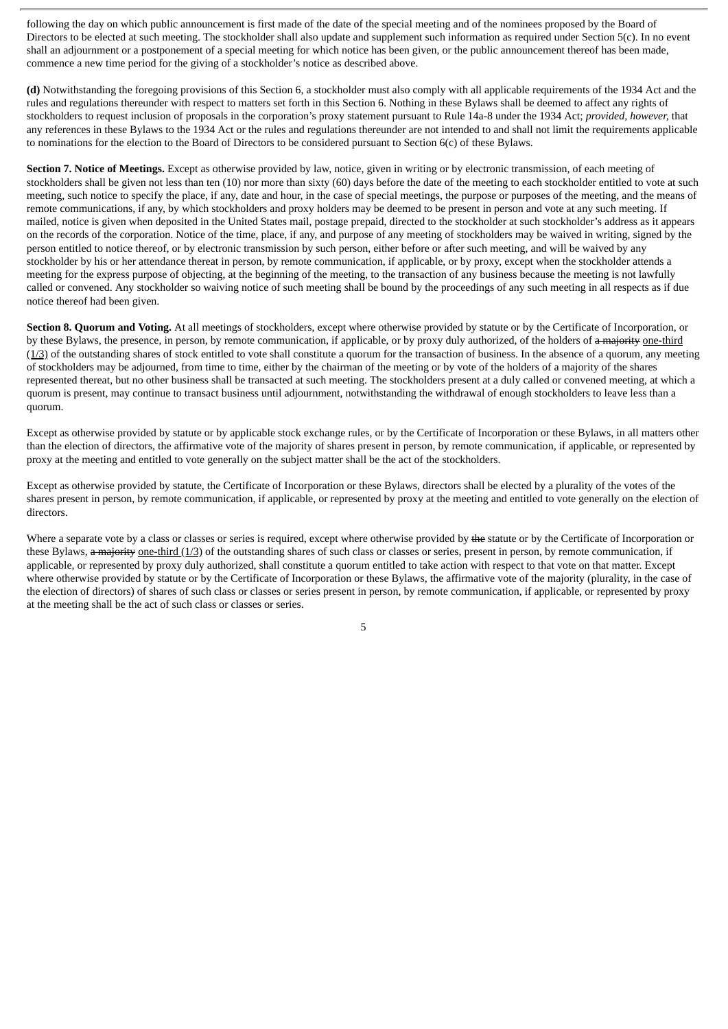following the day on which public announcement is first made of the date of the special meeting and of the nominees proposed by the Board of Directors to be elected at such meeting. The stockholder shall also update and supplement such information as required under Section 5(c). In no event shall an adjournment or a postponement of a special meeting for which notice has been given, or the public announcement thereof has been made, commence a new time period for the giving of a stockholder's notice as described above.

**(d)** Notwithstanding the foregoing provisions of this Section 6, a stockholder must also comply with all applicable requirements of the 1934 Act and the rules and regulations thereunder with respect to matters set forth in this Section 6. Nothing in these Bylaws shall be deemed to affect any rights of stockholders to request inclusion of proposals in the corporation's proxy statement pursuant to Rule 14a-8 under the 1934 Act; *provided, however,* that any references in these Bylaws to the 1934 Act or the rules and regulations thereunder are not intended to and shall not limit the requirements applicable to nominations for the election to the Board of Directors to be considered pursuant to Section 6(c) of these Bylaws.

**Section 7. Notice of Meetings.** Except as otherwise provided by law, notice, given in writing or by electronic transmission, of each meeting of stockholders shall be given not less than ten (10) nor more than sixty (60) days before the date of the meeting to each stockholder entitled to vote at such meeting, such notice to specify the place, if any, date and hour, in the case of special meetings, the purpose or purposes of the meeting, and the means of remote communications, if any, by which stockholders and proxy holders may be deemed to be present in person and vote at any such meeting. If mailed, notice is given when deposited in the United States mail, postage prepaid, directed to the stockholder at such stockholder's address as it appears on the records of the corporation. Notice of the time, place, if any, and purpose of any meeting of stockholders may be waived in writing, signed by the person entitled to notice thereof, or by electronic transmission by such person, either before or after such meeting, and will be waived by any stockholder by his or her attendance thereat in person, by remote communication, if applicable, or by proxy, except when the stockholder attends a meeting for the express purpose of objecting, at the beginning of the meeting, to the transaction of any business because the meeting is not lawfully called or convened. Any stockholder so waiving notice of such meeting shall be bound by the proceedings of any such meeting in all respects as if due notice thereof had been given.

**Section 8. Quorum and Voting.** At all meetings of stockholders, except where otherwise provided by statute or by the Certificate of Incorporation, or by these Bylaws, the presence, in person, by remote communication, if applicable, or by proxy duly authorized, of the holders of a majority one-third  $(1/3)$  of the outstanding shares of stock entitled to vote shall constitute a quorum for the transaction of business. In the absence of a quorum, any meeting of stockholders may be adjourned, from time to time, either by the chairman of the meeting or by vote of the holders of a majority of the shares represented thereat, but no other business shall be transacted at such meeting. The stockholders present at a duly called or convened meeting, at which a quorum is present, may continue to transact business until adjournment, notwithstanding the withdrawal of enough stockholders to leave less than a quorum.

Except as otherwise provided by statute or by applicable stock exchange rules, or by the Certificate of Incorporation or these Bylaws, in all matters other than the election of directors, the affirmative vote of the majority of shares present in person, by remote communication, if applicable, or represented by proxy at the meeting and entitled to vote generally on the subject matter shall be the act of the stockholders.

Except as otherwise provided by statute, the Certificate of Incorporation or these Bylaws, directors shall be elected by a plurality of the votes of the shares present in person, by remote communication, if applicable, or represented by proxy at the meeting and entitled to vote generally on the election of directors.

Where a separate vote by a class or classes or series is required, except where otherwise provided by the statute or by the Certificate of Incorporation or these Bylaws,  $\frac{a}{b}$  majority one-third (1/3) of the outstanding shares of such class or classes or series, present in person, by remote communication, if applicable, or represented by proxy duly authorized, shall constitute a quorum entitled to take action with respect to that vote on that matter. Except where otherwise provided by statute or by the Certificate of Incorporation or these Bylaws, the affirmative vote of the majority (plurality, in the case of the election of directors) of shares of such class or classes or series present in person, by remote communication, if applicable, or represented by proxy at the meeting shall be the act of such class or classes or series.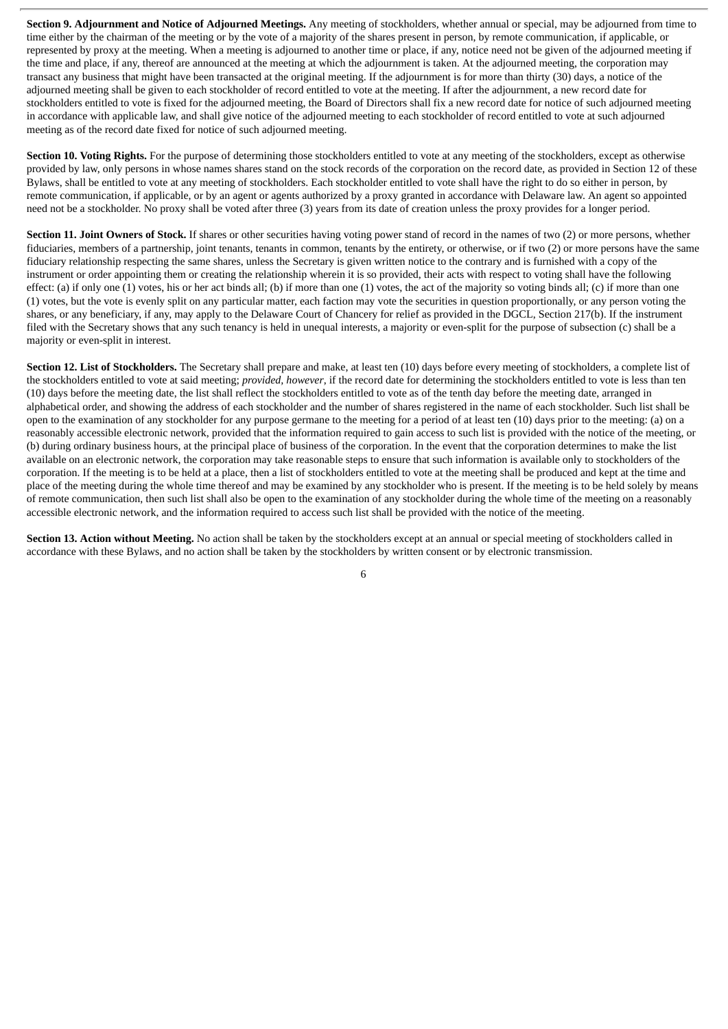**Section 9. Adjournment and Notice of Adjourned Meetings.** Any meeting of stockholders, whether annual or special, may be adjourned from time to time either by the chairman of the meeting or by the vote of a majority of the shares present in person, by remote communication, if applicable, or represented by proxy at the meeting. When a meeting is adjourned to another time or place, if any, notice need not be given of the adjourned meeting if the time and place, if any, thereof are announced at the meeting at which the adjournment is taken. At the adjourned meeting, the corporation may transact any business that might have been transacted at the original meeting. If the adjournment is for more than thirty (30) days, a notice of the adjourned meeting shall be given to each stockholder of record entitled to vote at the meeting. If after the adjournment, a new record date for stockholders entitled to vote is fixed for the adjourned meeting, the Board of Directors shall fix a new record date for notice of such adjourned meeting in accordance with applicable law, and shall give notice of the adjourned meeting to each stockholder of record entitled to vote at such adjourned meeting as of the record date fixed for notice of such adjourned meeting.

**Section 10. Voting Rights.** For the purpose of determining those stockholders entitled to vote at any meeting of the stockholders, except as otherwise provided by law, only persons in whose names shares stand on the stock records of the corporation on the record date, as provided in Section 12 of these Bylaws, shall be entitled to vote at any meeting of stockholders. Each stockholder entitled to vote shall have the right to do so either in person, by remote communication, if applicable, or by an agent or agents authorized by a proxy granted in accordance with Delaware law. An agent so appointed need not be a stockholder. No proxy shall be voted after three (3) years from its date of creation unless the proxy provides for a longer period.

**Section 11. Joint Owners of Stock.** If shares or other securities having voting power stand of record in the names of two (2) or more persons, whether fiduciaries, members of a partnership, joint tenants, tenants in common, tenants by the entirety, or otherwise, or if two (2) or more persons have the same fiduciary relationship respecting the same shares, unless the Secretary is given written notice to the contrary and is furnished with a copy of the instrument or order appointing them or creating the relationship wherein it is so provided, their acts with respect to voting shall have the following effect: (a) if only one  $(1)$  votes, his or her act binds all; (b) if more than one  $(1)$  votes, the act of the majority so voting binds all; (c) if more than one (1) votes, but the vote is evenly split on any particular matter, each faction may vote the securities in question proportionally, or any person voting the shares, or any beneficiary, if any, may apply to the Delaware Court of Chancery for relief as provided in the DGCL, Section 217(b). If the instrument filed with the Secretary shows that any such tenancy is held in unequal interests, a majority or even-split for the purpose of subsection (c) shall be a majority or even-split in interest.

**Section 12. List of Stockholders.** The Secretary shall prepare and make, at least ten (10) days before every meeting of stockholders, a complete list of the stockholders entitled to vote at said meeting; *provided, however*, if the record date for determining the stockholders entitled to vote is less than ten (10) days before the meeting date, the list shall reflect the stockholders entitled to vote as of the tenth day before the meeting date, arranged in alphabetical order, and showing the address of each stockholder and the number of shares registered in the name of each stockholder. Such list shall be open to the examination of any stockholder for any purpose germane to the meeting for a period of at least ten (10) days prior to the meeting: (a) on a reasonably accessible electronic network, provided that the information required to gain access to such list is provided with the notice of the meeting, or (b) during ordinary business hours, at the principal place of business of the corporation. In the event that the corporation determines to make the list available on an electronic network, the corporation may take reasonable steps to ensure that such information is available only to stockholders of the corporation. If the meeting is to be held at a place, then a list of stockholders entitled to vote at the meeting shall be produced and kept at the time and place of the meeting during the whole time thereof and may be examined by any stockholder who is present. If the meeting is to be held solely by means of remote communication, then such list shall also be open to the examination of any stockholder during the whole time of the meeting on a reasonably accessible electronic network, and the information required to access such list shall be provided with the notice of the meeting.

**Section 13. Action without Meeting.** No action shall be taken by the stockholders except at an annual or special meeting of stockholders called in accordance with these Bylaws, and no action shall be taken by the stockholders by written consent or by electronic transmission.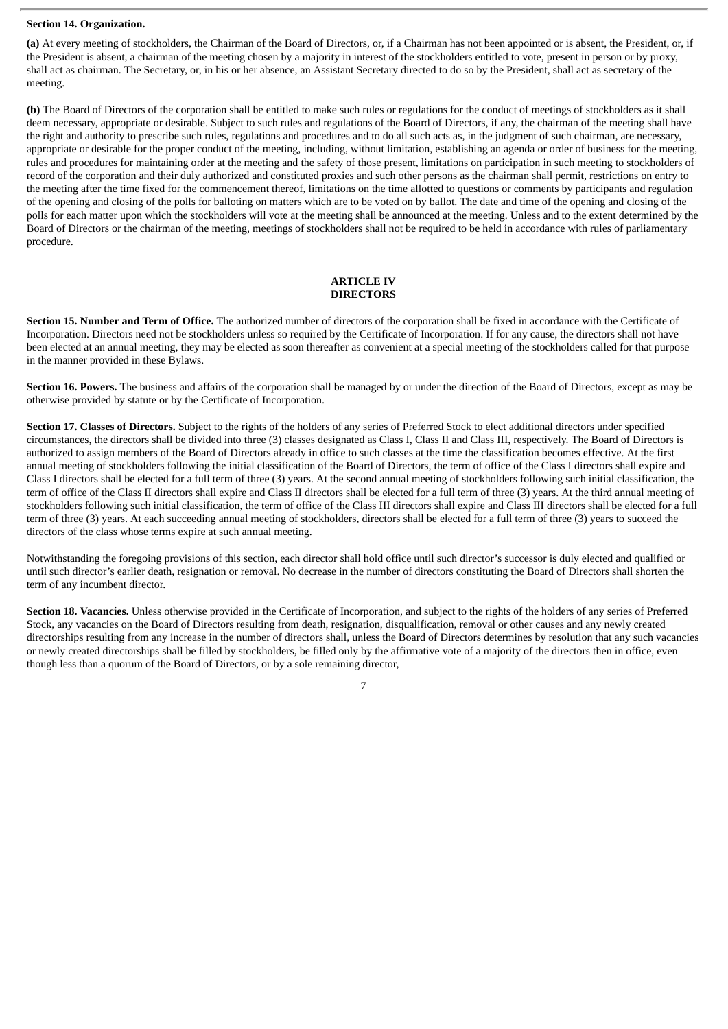#### **Section 14. Organization.**

**(a)** At every meeting of stockholders, the Chairman of the Board of Directors, or, if a Chairman has not been appointed or is absent, the President, or, if the President is absent, a chairman of the meeting chosen by a majority in interest of the stockholders entitled to vote, present in person or by proxy, shall act as chairman. The Secretary, or, in his or her absence, an Assistant Secretary directed to do so by the President, shall act as secretary of the meeting.

**(b)** The Board of Directors of the corporation shall be entitled to make such rules or regulations for the conduct of meetings of stockholders as it shall deem necessary, appropriate or desirable. Subject to such rules and regulations of the Board of Directors, if any, the chairman of the meeting shall have the right and authority to prescribe such rules, regulations and procedures and to do all such acts as, in the judgment of such chairman, are necessary, appropriate or desirable for the proper conduct of the meeting, including, without limitation, establishing an agenda or order of business for the meeting, rules and procedures for maintaining order at the meeting and the safety of those present, limitations on participation in such meeting to stockholders of record of the corporation and their duly authorized and constituted proxies and such other persons as the chairman shall permit, restrictions on entry to the meeting after the time fixed for the commencement thereof, limitations on the time allotted to questions or comments by participants and regulation of the opening and closing of the polls for balloting on matters which are to be voted on by ballot. The date and time of the opening and closing of the polls for each matter upon which the stockholders will vote at the meeting shall be announced at the meeting. Unless and to the extent determined by the Board of Directors or the chairman of the meeting, meetings of stockholders shall not be required to be held in accordance with rules of parliamentary procedure.

#### **ARTICLE IV DIRECTORS**

**Section 15. Number and Term of Office.** The authorized number of directors of the corporation shall be fixed in accordance with the Certificate of Incorporation. Directors need not be stockholders unless so required by the Certificate of Incorporation. If for any cause, the directors shall not have been elected at an annual meeting, they may be elected as soon thereafter as convenient at a special meeting of the stockholders called for that purpose in the manner provided in these Bylaws.

**Section 16. Powers.** The business and affairs of the corporation shall be managed by or under the direction of the Board of Directors, except as may be otherwise provided by statute or by the Certificate of Incorporation.

**Section 17. Classes of Directors.** Subject to the rights of the holders of any series of Preferred Stock to elect additional directors under specified circumstances, the directors shall be divided into three (3) classes designated as Class I, Class II and Class III, respectively. The Board of Directors is authorized to assign members of the Board of Directors already in office to such classes at the time the classification becomes effective. At the first annual meeting of stockholders following the initial classification of the Board of Directors, the term of office of the Class I directors shall expire and Class I directors shall be elected for a full term of three (3) years. At the second annual meeting of stockholders following such initial classification, the term of office of the Class II directors shall expire and Class II directors shall be elected for a full term of three (3) years. At the third annual meeting of stockholders following such initial classification, the term of office of the Class III directors shall expire and Class III directors shall be elected for a full term of three (3) years. At each succeeding annual meeting of stockholders, directors shall be elected for a full term of three (3) years to succeed the directors of the class whose terms expire at such annual meeting.

Notwithstanding the foregoing provisions of this section, each director shall hold office until such director's successor is duly elected and qualified or until such director's earlier death, resignation or removal. No decrease in the number of directors constituting the Board of Directors shall shorten the term of any incumbent director.

**Section 18. Vacancies.** Unless otherwise provided in the Certificate of Incorporation, and subject to the rights of the holders of any series of Preferred Stock, any vacancies on the Board of Directors resulting from death, resignation, disqualification, removal or other causes and any newly created directorships resulting from any increase in the number of directors shall, unless the Board of Directors determines by resolution that any such vacancies or newly created directorships shall be filled by stockholders, be filled only by the affirmative vote of a majority of the directors then in office, even though less than a quorum of the Board of Directors, or by a sole remaining director,

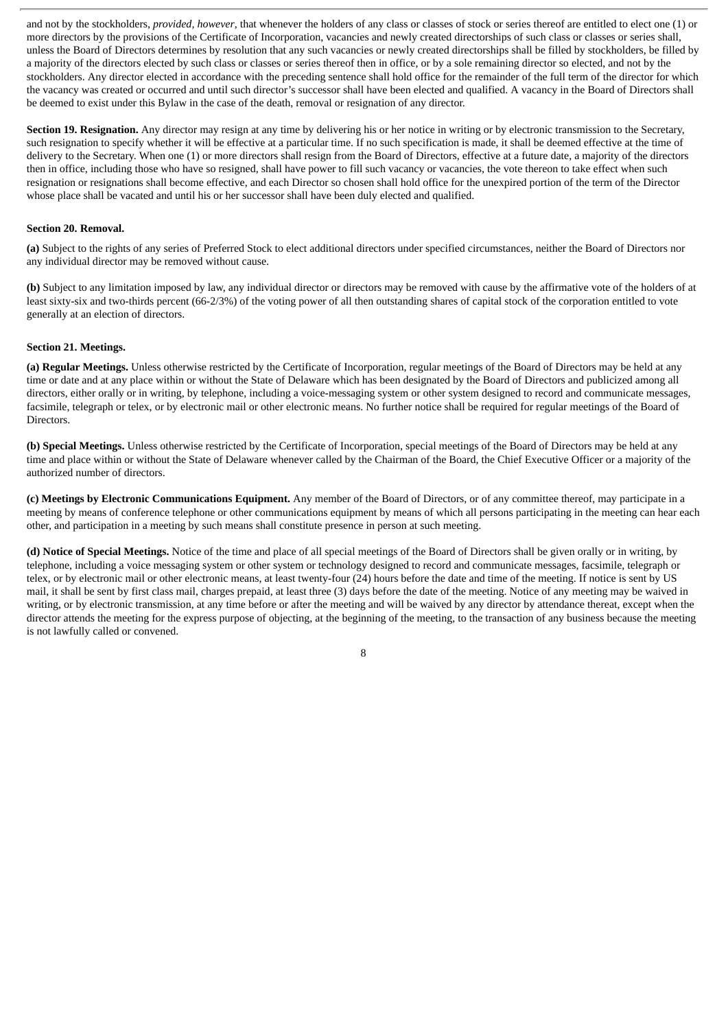and not by the stockholders, *provided, however*, that whenever the holders of any class or classes of stock or series thereof are entitled to elect one (1) or more directors by the provisions of the Certificate of Incorporation, vacancies and newly created directorships of such class or classes or series shall, unless the Board of Directors determines by resolution that any such vacancies or newly created directorships shall be filled by stockholders, be filled by a majority of the directors elected by such class or classes or series thereof then in office, or by a sole remaining director so elected, and not by the stockholders. Any director elected in accordance with the preceding sentence shall hold office for the remainder of the full term of the director for which the vacancy was created or occurred and until such director's successor shall have been elected and qualified. A vacancy in the Board of Directors shall be deemed to exist under this Bylaw in the case of the death, removal or resignation of any director.

**Section 19. Resignation.** Any director may resign at any time by delivering his or her notice in writing or by electronic transmission to the Secretary, such resignation to specify whether it will be effective at a particular time. If no such specification is made, it shall be deemed effective at the time of delivery to the Secretary. When one (1) or more directors shall resign from the Board of Directors, effective at a future date, a majority of the directors then in office, including those who have so resigned, shall have power to fill such vacancy or vacancies, the vote thereon to take effect when such resignation or resignations shall become effective, and each Director so chosen shall hold office for the unexpired portion of the term of the Director whose place shall be vacated and until his or her successor shall have been duly elected and qualified.

#### **Section 20. Removal.**

**(a)** Subject to the rights of any series of Preferred Stock to elect additional directors under specified circumstances, neither the Board of Directors nor any individual director may be removed without cause.

**(b)** Subject to any limitation imposed by law, any individual director or directors may be removed with cause by the affirmative vote of the holders of at least sixty-six and two-thirds percent (66-2/3%) of the voting power of all then outstanding shares of capital stock of the corporation entitled to vote generally at an election of directors.

#### **Section 21. Meetings.**

**(a) Regular Meetings.** Unless otherwise restricted by the Certificate of Incorporation, regular meetings of the Board of Directors may be held at any time or date and at any place within or without the State of Delaware which has been designated by the Board of Directors and publicized among all directors, either orally or in writing, by telephone, including a voice-messaging system or other system designed to record and communicate messages, facsimile, telegraph or telex, or by electronic mail or other electronic means. No further notice shall be required for regular meetings of the Board of Directors.

**(b) Special Meetings.** Unless otherwise restricted by the Certificate of Incorporation, special meetings of the Board of Directors may be held at any time and place within or without the State of Delaware whenever called by the Chairman of the Board, the Chief Executive Officer or a majority of the authorized number of directors.

**(c) Meetings by Electronic Communications Equipment.** Any member of the Board of Directors, or of any committee thereof, may participate in a meeting by means of conference telephone or other communications equipment by means of which all persons participating in the meeting can hear each other, and participation in a meeting by such means shall constitute presence in person at such meeting.

**(d) Notice of Special Meetings.** Notice of the time and place of all special meetings of the Board of Directors shall be given orally or in writing, by telephone, including a voice messaging system or other system or technology designed to record and communicate messages, facsimile, telegraph or telex, or by electronic mail or other electronic means, at least twenty-four (24) hours before the date and time of the meeting. If notice is sent by US mail, it shall be sent by first class mail, charges prepaid, at least three (3) days before the date of the meeting. Notice of any meeting may be waived in writing, or by electronic transmission, at any time before or after the meeting and will be waived by any director by attendance thereat, except when the director attends the meeting for the express purpose of objecting, at the beginning of the meeting, to the transaction of any business because the meeting is not lawfully called or convened.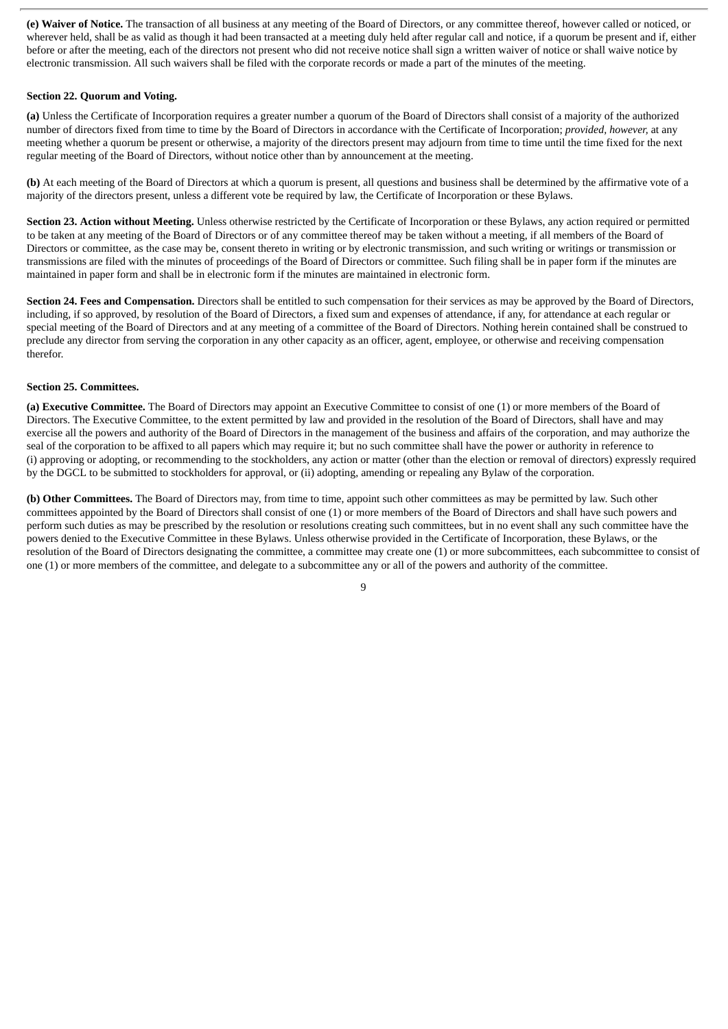**(e) Waiver of Notice.** The transaction of all business at any meeting of the Board of Directors, or any committee thereof, however called or noticed, or wherever held, shall be as valid as though it had been transacted at a meeting duly held after regular call and notice, if a quorum be present and if, either before or after the meeting, each of the directors not present who did not receive notice shall sign a written waiver of notice or shall waive notice by electronic transmission. All such waivers shall be filed with the corporate records or made a part of the minutes of the meeting.

# **Section 22. Quorum and Voting.**

**(a)** Unless the Certificate of Incorporation requires a greater number a quorum of the Board of Directors shall consist of a majority of the authorized number of directors fixed from time to time by the Board of Directors in accordance with the Certificate of Incorporation; *provided, however,* at any meeting whether a quorum be present or otherwise, a majority of the directors present may adjourn from time to time until the time fixed for the next regular meeting of the Board of Directors, without notice other than by announcement at the meeting.

**(b)** At each meeting of the Board of Directors at which a quorum is present, all questions and business shall be determined by the affirmative vote of a majority of the directors present, unless a different vote be required by law, the Certificate of Incorporation or these Bylaws.

**Section 23. Action without Meeting.** Unless otherwise restricted by the Certificate of Incorporation or these Bylaws, any action required or permitted to be taken at any meeting of the Board of Directors or of any committee thereof may be taken without a meeting, if all members of the Board of Directors or committee, as the case may be, consent thereto in writing or by electronic transmission, and such writing or writings or transmission or transmissions are filed with the minutes of proceedings of the Board of Directors or committee. Such filing shall be in paper form if the minutes are maintained in paper form and shall be in electronic form if the minutes are maintained in electronic form.

**Section 24. Fees and Compensation.** Directors shall be entitled to such compensation for their services as may be approved by the Board of Directors, including, if so approved, by resolution of the Board of Directors, a fixed sum and expenses of attendance, if any, for attendance at each regular or special meeting of the Board of Directors and at any meeting of a committee of the Board of Directors. Nothing herein contained shall be construed to preclude any director from serving the corporation in any other capacity as an officer, agent, employee, or otherwise and receiving compensation therefor.

#### **Section 25. Committees.**

**(a) Executive Committee.** The Board of Directors may appoint an Executive Committee to consist of one (1) or more members of the Board of Directors. The Executive Committee, to the extent permitted by law and provided in the resolution of the Board of Directors, shall have and may exercise all the powers and authority of the Board of Directors in the management of the business and affairs of the corporation, and may authorize the seal of the corporation to be affixed to all papers which may require it; but no such committee shall have the power or authority in reference to (i) approving or adopting, or recommending to the stockholders, any action or matter (other than the election or removal of directors) expressly required by the DGCL to be submitted to stockholders for approval, or (ii) adopting, amending or repealing any Bylaw of the corporation.

**(b) Other Committees.** The Board of Directors may, from time to time, appoint such other committees as may be permitted by law. Such other committees appointed by the Board of Directors shall consist of one (1) or more members of the Board of Directors and shall have such powers and perform such duties as may be prescribed by the resolution or resolutions creating such committees, but in no event shall any such committee have the powers denied to the Executive Committee in these Bylaws. Unless otherwise provided in the Certificate of Incorporation, these Bylaws, or the resolution of the Board of Directors designating the committee, a committee may create one (1) or more subcommittees, each subcommittee to consist of one (1) or more members of the committee, and delegate to a subcommittee any or all of the powers and authority of the committee.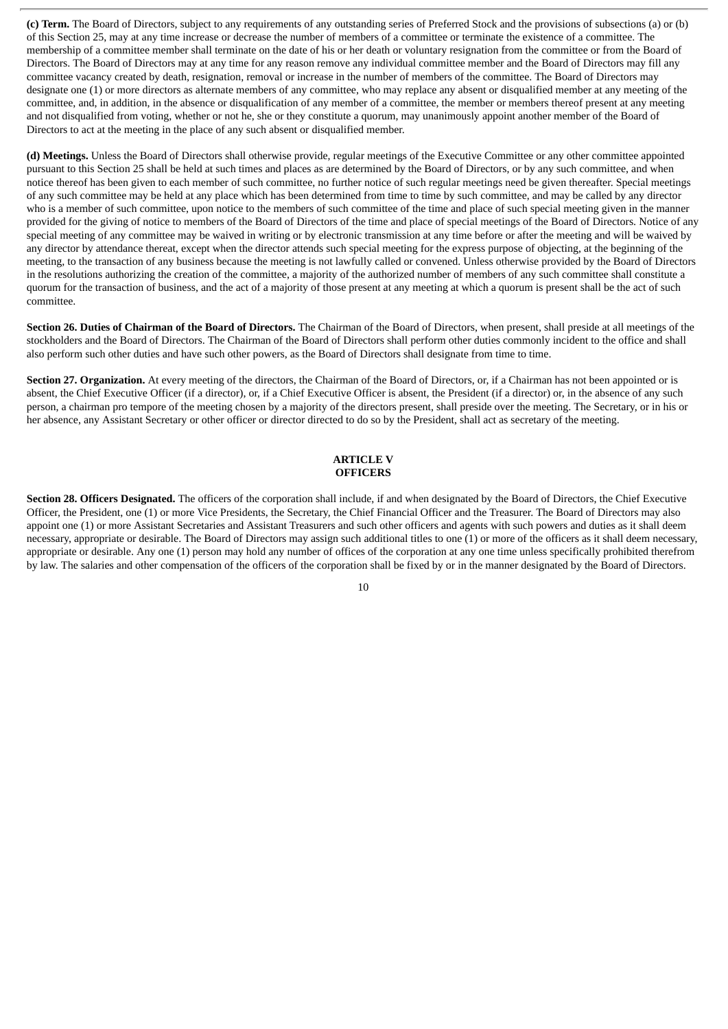**(c) Term.** The Board of Directors, subject to any requirements of any outstanding series of Preferred Stock and the provisions of subsections (a) or (b) of this Section 25, may at any time increase or decrease the number of members of a committee or terminate the existence of a committee. The membership of a committee member shall terminate on the date of his or her death or voluntary resignation from the committee or from the Board of Directors. The Board of Directors may at any time for any reason remove any individual committee member and the Board of Directors may fill any committee vacancy created by death, resignation, removal or increase in the number of members of the committee. The Board of Directors may designate one (1) or more directors as alternate members of any committee, who may replace any absent or disqualified member at any meeting of the committee, and, in addition, in the absence or disqualification of any member of a committee, the member or members thereof present at any meeting and not disqualified from voting, whether or not he, she or they constitute a quorum, may unanimously appoint another member of the Board of Directors to act at the meeting in the place of any such absent or disqualified member.

**(d) Meetings.** Unless the Board of Directors shall otherwise provide, regular meetings of the Executive Committee or any other committee appointed pursuant to this Section 25 shall be held at such times and places as are determined by the Board of Directors, or by any such committee, and when notice thereof has been given to each member of such committee, no further notice of such regular meetings need be given thereafter. Special meetings of any such committee may be held at any place which has been determined from time to time by such committee, and may be called by any director who is a member of such committee, upon notice to the members of such committee of the time and place of such special meeting given in the manner provided for the giving of notice to members of the Board of Directors of the time and place of special meetings of the Board of Directors. Notice of any special meeting of any committee may be waived in writing or by electronic transmission at any time before or after the meeting and will be waived by any director by attendance thereat, except when the director attends such special meeting for the express purpose of objecting, at the beginning of the meeting, to the transaction of any business because the meeting is not lawfully called or convened. Unless otherwise provided by the Board of Directors in the resolutions authorizing the creation of the committee, a majority of the authorized number of members of any such committee shall constitute a quorum for the transaction of business, and the act of a majority of those present at any meeting at which a quorum is present shall be the act of such committee.

**Section 26. Duties of Chairman of the Board of Directors.** The Chairman of the Board of Directors, when present, shall preside at all meetings of the stockholders and the Board of Directors. The Chairman of the Board of Directors shall perform other duties commonly incident to the office and shall also perform such other duties and have such other powers, as the Board of Directors shall designate from time to time.

**Section 27. Organization.** At every meeting of the directors, the Chairman of the Board of Directors, or, if a Chairman has not been appointed or is absent, the Chief Executive Officer (if a director), or, if a Chief Executive Officer is absent, the President (if a director) or, in the absence of any such person, a chairman pro tempore of the meeting chosen by a majority of the directors present, shall preside over the meeting. The Secretary, or in his or her absence, any Assistant Secretary or other officer or director directed to do so by the President, shall act as secretary of the meeting.

# **ARTICLE V OFFICERS**

**Section 28. Officers Designated.** The officers of the corporation shall include, if and when designated by the Board of Directors, the Chief Executive Officer, the President, one (1) or more Vice Presidents, the Secretary, the Chief Financial Officer and the Treasurer. The Board of Directors may also appoint one (1) or more Assistant Secretaries and Assistant Treasurers and such other officers and agents with such powers and duties as it shall deem necessary, appropriate or desirable. The Board of Directors may assign such additional titles to one (1) or more of the officers as it shall deem necessary, appropriate or desirable. Any one (1) person may hold any number of offices of the corporation at any one time unless specifically prohibited therefrom by law. The salaries and other compensation of the officers of the corporation shall be fixed by or in the manner designated by the Board of Directors.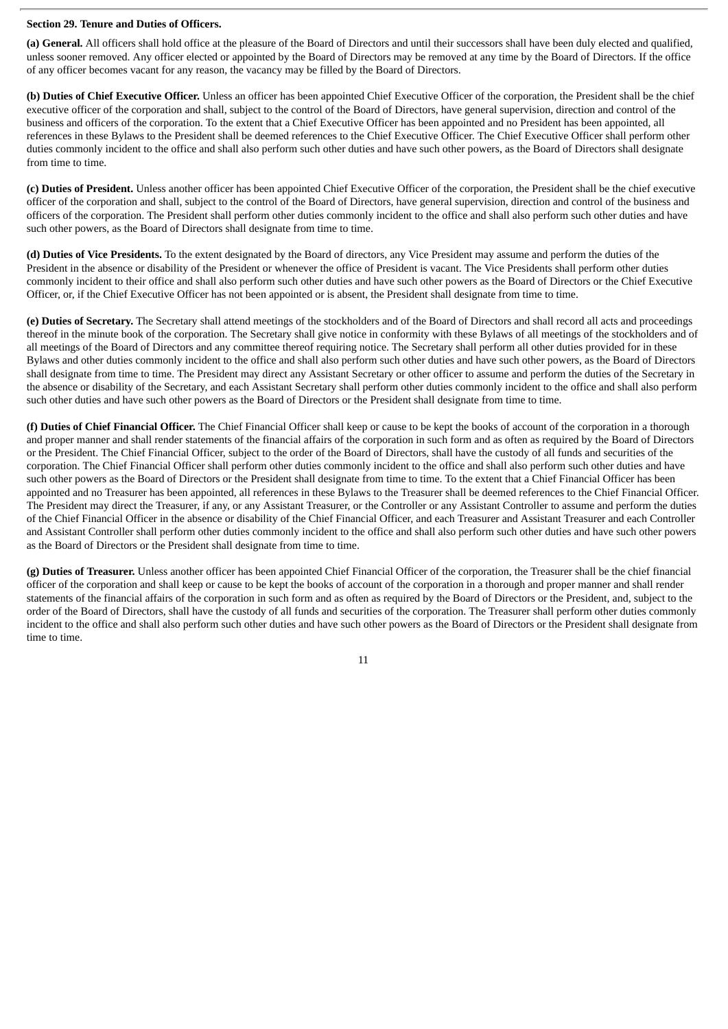#### **Section 29. Tenure and Duties of Officers.**

**(a) General.** All officers shall hold office at the pleasure of the Board of Directors and until their successors shall have been duly elected and qualified, unless sooner removed. Any officer elected or appointed by the Board of Directors may be removed at any time by the Board of Directors. If the office of any officer becomes vacant for any reason, the vacancy may be filled by the Board of Directors.

**(b) Duties of Chief Executive Officer.** Unless an officer has been appointed Chief Executive Officer of the corporation, the President shall be the chief executive officer of the corporation and shall, subject to the control of the Board of Directors, have general supervision, direction and control of the business and officers of the corporation. To the extent that a Chief Executive Officer has been appointed and no President has been appointed, all references in these Bylaws to the President shall be deemed references to the Chief Executive Officer. The Chief Executive Officer shall perform other duties commonly incident to the office and shall also perform such other duties and have such other powers, as the Board of Directors shall designate from time to time.

**(c) Duties of President.** Unless another officer has been appointed Chief Executive Officer of the corporation, the President shall be the chief executive officer of the corporation and shall, subject to the control of the Board of Directors, have general supervision, direction and control of the business and officers of the corporation. The President shall perform other duties commonly incident to the office and shall also perform such other duties and have such other powers, as the Board of Directors shall designate from time to time.

**(d) Duties of Vice Presidents.** To the extent designated by the Board of directors, any Vice President may assume and perform the duties of the President in the absence or disability of the President or whenever the office of President is vacant. The Vice Presidents shall perform other duties commonly incident to their office and shall also perform such other duties and have such other powers as the Board of Directors or the Chief Executive Officer, or, if the Chief Executive Officer has not been appointed or is absent, the President shall designate from time to time.

**(e) Duties of Secretary.** The Secretary shall attend meetings of the stockholders and of the Board of Directors and shall record all acts and proceedings thereof in the minute book of the corporation. The Secretary shall give notice in conformity with these Bylaws of all meetings of the stockholders and of all meetings of the Board of Directors and any committee thereof requiring notice. The Secretary shall perform all other duties provided for in these Bylaws and other duties commonly incident to the office and shall also perform such other duties and have such other powers, as the Board of Directors shall designate from time to time. The President may direct any Assistant Secretary or other officer to assume and perform the duties of the Secretary in the absence or disability of the Secretary, and each Assistant Secretary shall perform other duties commonly incident to the office and shall also perform such other duties and have such other powers as the Board of Directors or the President shall designate from time to time.

**(f) Duties of Chief Financial Officer.** The Chief Financial Officer shall keep or cause to be kept the books of account of the corporation in a thorough and proper manner and shall render statements of the financial affairs of the corporation in such form and as often as required by the Board of Directors or the President. The Chief Financial Officer, subject to the order of the Board of Directors, shall have the custody of all funds and securities of the corporation. The Chief Financial Officer shall perform other duties commonly incident to the office and shall also perform such other duties and have such other powers as the Board of Directors or the President shall designate from time to time. To the extent that a Chief Financial Officer has been appointed and no Treasurer has been appointed, all references in these Bylaws to the Treasurer shall be deemed references to the Chief Financial Officer. The President may direct the Treasurer, if any, or any Assistant Treasurer, or the Controller or any Assistant Controller to assume and perform the duties of the Chief Financial Officer in the absence or disability of the Chief Financial Officer, and each Treasurer and Assistant Treasurer and each Controller and Assistant Controller shall perform other duties commonly incident to the office and shall also perform such other duties and have such other powers as the Board of Directors or the President shall designate from time to time.

**(g) Duties of Treasurer.** Unless another officer has been appointed Chief Financial Officer of the corporation, the Treasurer shall be the chief financial officer of the corporation and shall keep or cause to be kept the books of account of the corporation in a thorough and proper manner and shall render statements of the financial affairs of the corporation in such form and as often as required by the Board of Directors or the President, and, subject to the order of the Board of Directors, shall have the custody of all funds and securities of the corporation. The Treasurer shall perform other duties commonly incident to the office and shall also perform such other duties and have such other powers as the Board of Directors or the President shall designate from time to time.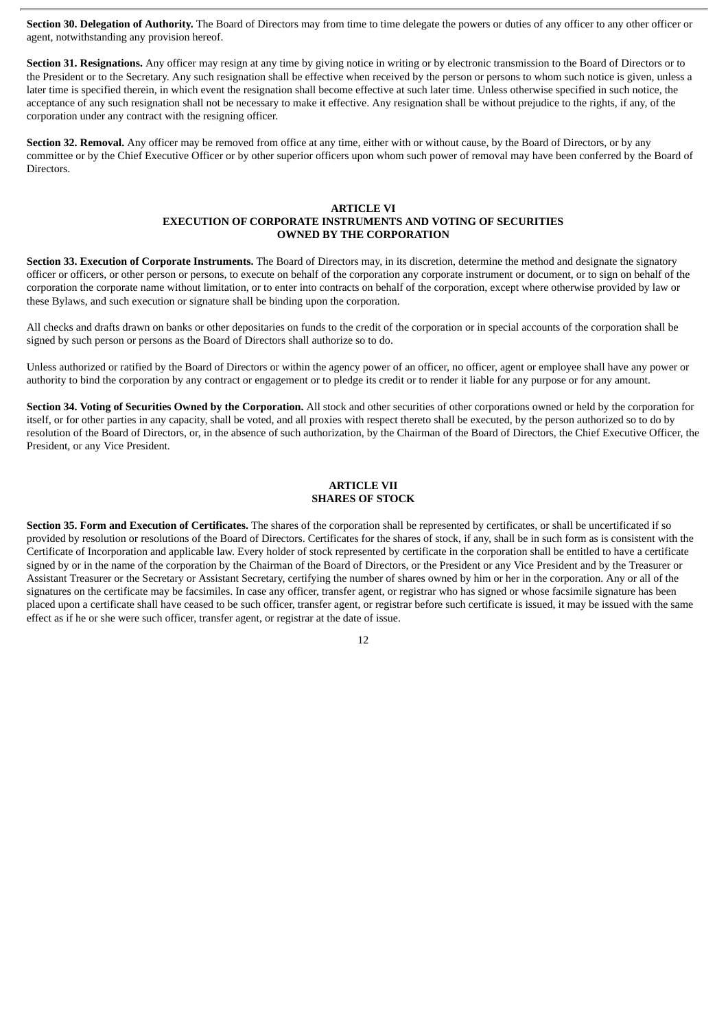**Section 30. Delegation of Authority.** The Board of Directors may from time to time delegate the powers or duties of any officer to any other officer or agent, notwithstanding any provision hereof.

**Section 31. Resignations.** Any officer may resign at any time by giving notice in writing or by electronic transmission to the Board of Directors or to the President or to the Secretary. Any such resignation shall be effective when received by the person or persons to whom such notice is given, unless a later time is specified therein, in which event the resignation shall become effective at such later time. Unless otherwise specified in such notice, the acceptance of any such resignation shall not be necessary to make it effective. Any resignation shall be without prejudice to the rights, if any, of the corporation under any contract with the resigning officer.

**Section 32. Removal.** Any officer may be removed from office at any time, either with or without cause, by the Board of Directors, or by any committee or by the Chief Executive Officer or by other superior officers upon whom such power of removal may have been conferred by the Board of Directors.

# **ARTICLE VI EXECUTION OF CORPORATE INSTRUMENTS AND VOTING OF SECURITIES OWNED BY THE CORPORATION**

**Section 33. Execution of Corporate Instruments.** The Board of Directors may, in its discretion, determine the method and designate the signatory officer or officers, or other person or persons, to execute on behalf of the corporation any corporate instrument or document, or to sign on behalf of the corporation the corporate name without limitation, or to enter into contracts on behalf of the corporation, except where otherwise provided by law or these Bylaws, and such execution or signature shall be binding upon the corporation.

All checks and drafts drawn on banks or other depositaries on funds to the credit of the corporation or in special accounts of the corporation shall be signed by such person or persons as the Board of Directors shall authorize so to do.

Unless authorized or ratified by the Board of Directors or within the agency power of an officer, no officer, agent or employee shall have any power or authority to bind the corporation by any contract or engagement or to pledge its credit or to render it liable for any purpose or for any amount.

**Section 34. Voting of Securities Owned by the Corporation.** All stock and other securities of other corporations owned or held by the corporation for itself, or for other parties in any capacity, shall be voted, and all proxies with respect thereto shall be executed, by the person authorized so to do by resolution of the Board of Directors, or, in the absence of such authorization, by the Chairman of the Board of Directors, the Chief Executive Officer, the President, or any Vice President.

# **ARTICLE VII SHARES OF STOCK**

**Section 35. Form and Execution of Certificates.** The shares of the corporation shall be represented by certificates, or shall be uncertificated if so provided by resolution or resolutions of the Board of Directors. Certificates for the shares of stock, if any, shall be in such form as is consistent with the Certificate of Incorporation and applicable law. Every holder of stock represented by certificate in the corporation shall be entitled to have a certificate signed by or in the name of the corporation by the Chairman of the Board of Directors, or the President or any Vice President and by the Treasurer or Assistant Treasurer or the Secretary or Assistant Secretary, certifying the number of shares owned by him or her in the corporation. Any or all of the signatures on the certificate may be facsimiles. In case any officer, transfer agent, or registrar who has signed or whose facsimile signature has been placed upon a certificate shall have ceased to be such officer, transfer agent, or registrar before such certificate is issued, it may be issued with the same effect as if he or she were such officer, transfer agent, or registrar at the date of issue.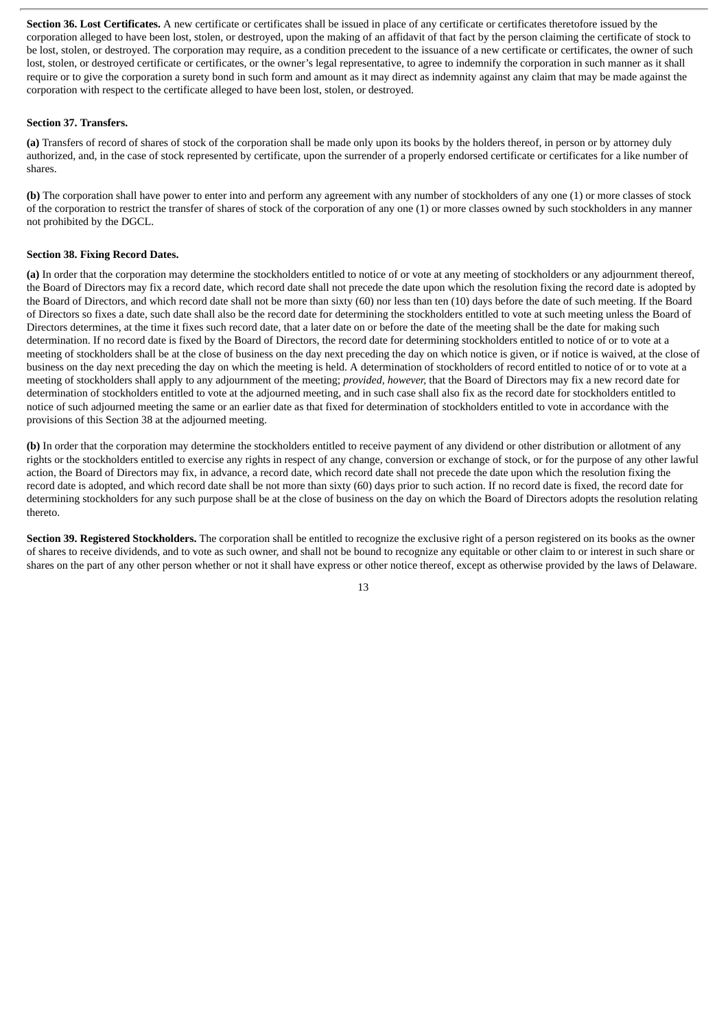**Section 36. Lost Certificates.** A new certificate or certificates shall be issued in place of any certificate or certificates theretofore issued by the corporation alleged to have been lost, stolen, or destroyed, upon the making of an affidavit of that fact by the person claiming the certificate of stock to be lost, stolen, or destroyed. The corporation may require, as a condition precedent to the issuance of a new certificate or certificates, the owner of such lost, stolen, or destroyed certificate or certificates, or the owner's legal representative, to agree to indemnify the corporation in such manner as it shall require or to give the corporation a surety bond in such form and amount as it may direct as indemnity against any claim that may be made against the corporation with respect to the certificate alleged to have been lost, stolen, or destroyed.

# **Section 37. Transfers.**

**(a)** Transfers of record of shares of stock of the corporation shall be made only upon its books by the holders thereof, in person or by attorney duly authorized, and, in the case of stock represented by certificate, upon the surrender of a properly endorsed certificate or certificates for a like number of shares.

**(b)** The corporation shall have power to enter into and perform any agreement with any number of stockholders of any one (1) or more classes of stock of the corporation to restrict the transfer of shares of stock of the corporation of any one (1) or more classes owned by such stockholders in any manner not prohibited by the DGCL.

# **Section 38. Fixing Record Dates.**

**(a)** In order that the corporation may determine the stockholders entitled to notice of or vote at any meeting of stockholders or any adjournment thereof, the Board of Directors may fix a record date, which record date shall not precede the date upon which the resolution fixing the record date is adopted by the Board of Directors, and which record date shall not be more than sixty (60) nor less than ten (10) days before the date of such meeting. If the Board of Directors so fixes a date, such date shall also be the record date for determining the stockholders entitled to vote at such meeting unless the Board of Directors determines, at the time it fixes such record date, that a later date on or before the date of the meeting shall be the date for making such determination. If no record date is fixed by the Board of Directors, the record date for determining stockholders entitled to notice of or to vote at a meeting of stockholders shall be at the close of business on the day next preceding the day on which notice is given, or if notice is waived, at the close of business on the day next preceding the day on which the meeting is held. A determination of stockholders of record entitled to notice of or to vote at a meeting of stockholders shall apply to any adjournment of the meeting; *provided, however,* that the Board of Directors may fix a new record date for determination of stockholders entitled to vote at the adjourned meeting, and in such case shall also fix as the record date for stockholders entitled to notice of such adjourned meeting the same or an earlier date as that fixed for determination of stockholders entitled to vote in accordance with the provisions of this Section 38 at the adjourned meeting.

**(b)** In order that the corporation may determine the stockholders entitled to receive payment of any dividend or other distribution or allotment of any rights or the stockholders entitled to exercise any rights in respect of any change, conversion or exchange of stock, or for the purpose of any other lawful action, the Board of Directors may fix, in advance, a record date, which record date shall not precede the date upon which the resolution fixing the record date is adopted, and which record date shall be not more than sixty (60) days prior to such action. If no record date is fixed, the record date for determining stockholders for any such purpose shall be at the close of business on the day on which the Board of Directors adopts the resolution relating thereto.

**Section 39. Registered Stockholders.** The corporation shall be entitled to recognize the exclusive right of a person registered on its books as the owner of shares to receive dividends, and to vote as such owner, and shall not be bound to recognize any equitable or other claim to or interest in such share or shares on the part of any other person whether or not it shall have express or other notice thereof, except as otherwise provided by the laws of Delaware.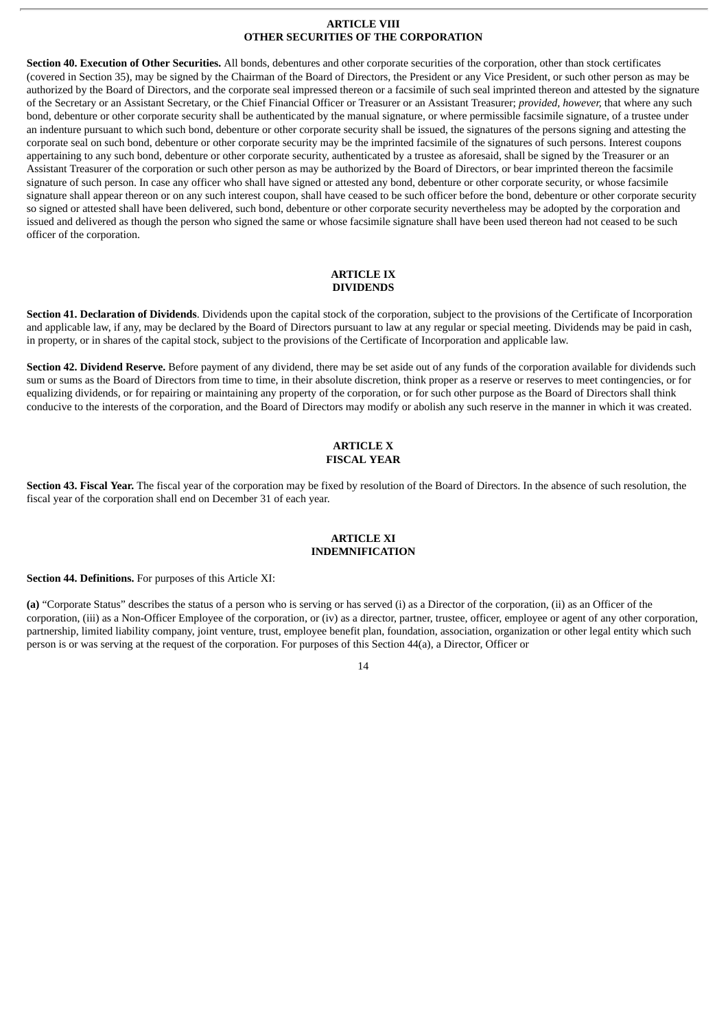#### **ARTICLE VIII OTHER SECURITIES OF THE CORPORATION**

**Section 40. Execution of Other Securities.** All bonds, debentures and other corporate securities of the corporation, other than stock certificates (covered in Section 35), may be signed by the Chairman of the Board of Directors, the President or any Vice President, or such other person as may be authorized by the Board of Directors, and the corporate seal impressed thereon or a facsimile of such seal imprinted thereon and attested by the signature of the Secretary or an Assistant Secretary, or the Chief Financial Officer or Treasurer or an Assistant Treasurer; *provided, however,* that where any such bond, debenture or other corporate security shall be authenticated by the manual signature, or where permissible facsimile signature, of a trustee under an indenture pursuant to which such bond, debenture or other corporate security shall be issued, the signatures of the persons signing and attesting the corporate seal on such bond, debenture or other corporate security may be the imprinted facsimile of the signatures of such persons. Interest coupons appertaining to any such bond, debenture or other corporate security, authenticated by a trustee as aforesaid, shall be signed by the Treasurer or an Assistant Treasurer of the corporation or such other person as may be authorized by the Board of Directors, or bear imprinted thereon the facsimile signature of such person. In case any officer who shall have signed or attested any bond, debenture or other corporate security, or whose facsimile signature shall appear thereon or on any such interest coupon, shall have ceased to be such officer before the bond, debenture or other corporate security so signed or attested shall have been delivered, such bond, debenture or other corporate security nevertheless may be adopted by the corporation and issued and delivered as though the person who signed the same or whose facsimile signature shall have been used thereon had not ceased to be such officer of the corporation.

#### **ARTICLE IX DIVIDENDS**

**Section 41. Declaration of Dividends**. Dividends upon the capital stock of the corporation, subject to the provisions of the Certificate of Incorporation and applicable law, if any, may be declared by the Board of Directors pursuant to law at any regular or special meeting. Dividends may be paid in cash, in property, or in shares of the capital stock, subject to the provisions of the Certificate of Incorporation and applicable law.

**Section 42. Dividend Reserve.** Before payment of any dividend, there may be set aside out of any funds of the corporation available for dividends such sum or sums as the Board of Directors from time to time, in their absolute discretion, think proper as a reserve or reserves to meet contingencies, or for equalizing dividends, or for repairing or maintaining any property of the corporation, or for such other purpose as the Board of Directors shall think conducive to the interests of the corporation, and the Board of Directors may modify or abolish any such reserve in the manner in which it was created.

# **ARTICLE X FISCAL YEAR**

**Section 43. Fiscal Year.** The fiscal year of the corporation may be fixed by resolution of the Board of Directors. In the absence of such resolution, the fiscal year of the corporation shall end on December 31 of each year.

#### **ARTICLE XI INDEMNIFICATION**

**Section 44. Definitions.** For purposes of this Article XI:

**(a)** "Corporate Status" describes the status of a person who is serving or has served (i) as a Director of the corporation, (ii) as an Officer of the corporation, (iii) as a Non-Officer Employee of the corporation, or (iv) as a director, partner, trustee, officer, employee or agent of any other corporation, partnership, limited liability company, joint venture, trust, employee benefit plan, foundation, association, organization or other legal entity which such person is or was serving at the request of the corporation. For purposes of this Section 44(a), a Director, Officer or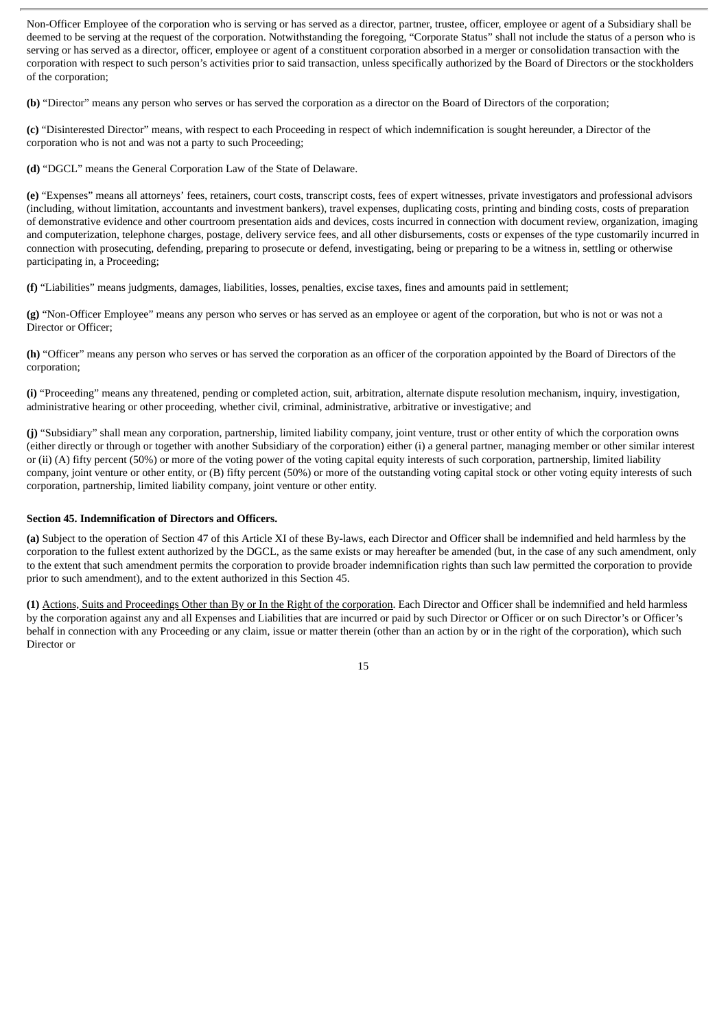Non-Officer Employee of the corporation who is serving or has served as a director, partner, trustee, officer, employee or agent of a Subsidiary shall be deemed to be serving at the request of the corporation. Notwithstanding the foregoing, "Corporate Status" shall not include the status of a person who is serving or has served as a director, officer, employee or agent of a constituent corporation absorbed in a merger or consolidation transaction with the corporation with respect to such person's activities prior to said transaction, unless specifically authorized by the Board of Directors or the stockholders of the corporation;

**(b)** "Director" means any person who serves or has served the corporation as a director on the Board of Directors of the corporation;

**(c)** "Disinterested Director" means, with respect to each Proceeding in respect of which indemnification is sought hereunder, a Director of the corporation who is not and was not a party to such Proceeding;

**(d)** "DGCL" means the General Corporation Law of the State of Delaware.

**(e)** "Expenses" means all attorneys' fees, retainers, court costs, transcript costs, fees of expert witnesses, private investigators and professional advisors (including, without limitation, accountants and investment bankers), travel expenses, duplicating costs, printing and binding costs, costs of preparation of demonstrative evidence and other courtroom presentation aids and devices, costs incurred in connection with document review, organization, imaging and computerization, telephone charges, postage, delivery service fees, and all other disbursements, costs or expenses of the type customarily incurred in connection with prosecuting, defending, preparing to prosecute or defend, investigating, being or preparing to be a witness in, settling or otherwise participating in, a Proceeding;

**(f)** "Liabilities" means judgments, damages, liabilities, losses, penalties, excise taxes, fines and amounts paid in settlement;

**(g)** "Non-Officer Employee" means any person who serves or has served as an employee or agent of the corporation, but who is not or was not a Director or Officer;

**(h)** "Officer" means any person who serves or has served the corporation as an officer of the corporation appointed by the Board of Directors of the corporation;

**(i)** "Proceeding" means any threatened, pending or completed action, suit, arbitration, alternate dispute resolution mechanism, inquiry, investigation, administrative hearing or other proceeding, whether civil, criminal, administrative, arbitrative or investigative; and

**(j)** "Subsidiary" shall mean any corporation, partnership, limited liability company, joint venture, trust or other entity of which the corporation owns (either directly or through or together with another Subsidiary of the corporation) either (i) a general partner, managing member or other similar interest or (ii) (A) fifty percent (50%) or more of the voting power of the voting capital equity interests of such corporation, partnership, limited liability company, joint venture or other entity, or (B) fifty percent (50%) or more of the outstanding voting capital stock or other voting equity interests of such corporation, partnership, limited liability company, joint venture or other entity.

#### **Section 45. Indemnification of Directors and Officers.**

**(a)** Subject to the operation of Section 47 of this Article XI of these By-laws, each Director and Officer shall be indemnified and held harmless by the corporation to the fullest extent authorized by the DGCL, as the same exists or may hereafter be amended (but, in the case of any such amendment, only to the extent that such amendment permits the corporation to provide broader indemnification rights than such law permitted the corporation to provide prior to such amendment), and to the extent authorized in this Section 45.

**(1)** Actions, Suits and Proceedings Other than By or In the Right of the corporation. Each Director and Officer shall be indemnified and held harmless by the corporation against any and all Expenses and Liabilities that are incurred or paid by such Director or Officer or on such Director's or Officer's behalf in connection with any Proceeding or any claim, issue or matter therein (other than an action by or in the right of the corporation), which such Director or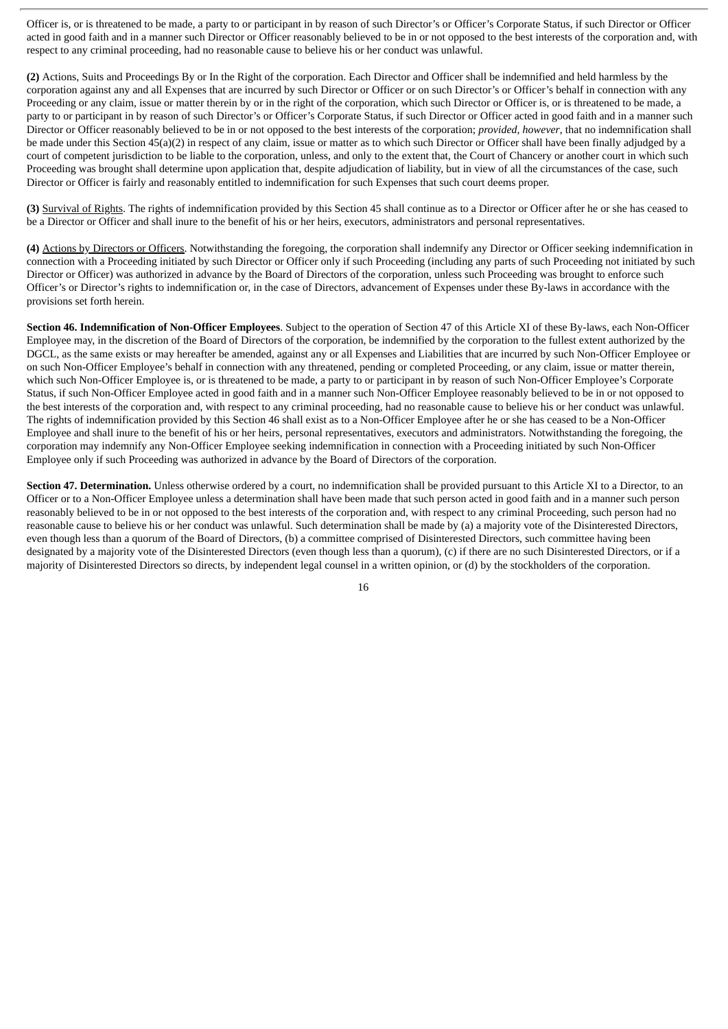Officer is, or is threatened to be made, a party to or participant in by reason of such Director's or Officer's Corporate Status, if such Director or Officer acted in good faith and in a manner such Director or Officer reasonably believed to be in or not opposed to the best interests of the corporation and, with respect to any criminal proceeding, had no reasonable cause to believe his or her conduct was unlawful.

**(2)** Actions, Suits and Proceedings By or In the Right of the corporation. Each Director and Officer shall be indemnified and held harmless by the corporation against any and all Expenses that are incurred by such Director or Officer or on such Director's or Officer's behalf in connection with any Proceeding or any claim, issue or matter therein by or in the right of the corporation, which such Director or Officer is, or is threatened to be made, a party to or participant in by reason of such Director's or Officer's Corporate Status, if such Director or Officer acted in good faith and in a manner such Director or Officer reasonably believed to be in or not opposed to the best interests of the corporation; *provided, however*, that no indemnification shall be made under this Section 45(a)(2) in respect of any claim, issue or matter as to which such Director or Officer shall have been finally adjudged by a court of competent jurisdiction to be liable to the corporation, unless, and only to the extent that, the Court of Chancery or another court in which such Proceeding was brought shall determine upon application that, despite adjudication of liability, but in view of all the circumstances of the case, such Director or Officer is fairly and reasonably entitled to indemnification for such Expenses that such court deems proper.

**(3)** Survival of Rights. The rights of indemnification provided by this Section 45 shall continue as to a Director or Officer after he or she has ceased to be a Director or Officer and shall inure to the benefit of his or her heirs, executors, administrators and personal representatives.

**(4)** Actions by Directors or Officers. Notwithstanding the foregoing, the corporation shall indemnify any Director or Officer seeking indemnification in connection with a Proceeding initiated by such Director or Officer only if such Proceeding (including any parts of such Proceeding not initiated by such Director or Officer) was authorized in advance by the Board of Directors of the corporation, unless such Proceeding was brought to enforce such Officer's or Director's rights to indemnification or, in the case of Directors, advancement of Expenses under these By-laws in accordance with the provisions set forth herein.

**Section 46. Indemnification of Non-Officer Employees**. Subject to the operation of Section 47 of this Article XI of these By-laws, each Non-Officer Employee may, in the discretion of the Board of Directors of the corporation, be indemnified by the corporation to the fullest extent authorized by the DGCL, as the same exists or may hereafter be amended, against any or all Expenses and Liabilities that are incurred by such Non-Officer Employee or on such Non-Officer Employee's behalf in connection with any threatened, pending or completed Proceeding, or any claim, issue or matter therein, which such Non-Officer Employee is, or is threatened to be made, a party to or participant in by reason of such Non-Officer Employee's Corporate Status, if such Non-Officer Employee acted in good faith and in a manner such Non-Officer Employee reasonably believed to be in or not opposed to the best interests of the corporation and, with respect to any criminal proceeding, had no reasonable cause to believe his or her conduct was unlawful. The rights of indemnification provided by this Section 46 shall exist as to a Non-Officer Employee after he or she has ceased to be a Non-Officer Employee and shall inure to the benefit of his or her heirs, personal representatives, executors and administrators. Notwithstanding the foregoing, the corporation may indemnify any Non-Officer Employee seeking indemnification in connection with a Proceeding initiated by such Non-Officer Employee only if such Proceeding was authorized in advance by the Board of Directors of the corporation.

**Section 47. Determination.** Unless otherwise ordered by a court, no indemnification shall be provided pursuant to this Article XI to a Director, to an Officer or to a Non-Officer Employee unless a determination shall have been made that such person acted in good faith and in a manner such person reasonably believed to be in or not opposed to the best interests of the corporation and, with respect to any criminal Proceeding, such person had no reasonable cause to believe his or her conduct was unlawful. Such determination shall be made by (a) a majority vote of the Disinterested Directors, even though less than a quorum of the Board of Directors, (b) a committee comprised of Disinterested Directors, such committee having been designated by a majority vote of the Disinterested Directors (even though less than a quorum), (c) if there are no such Disinterested Directors, or if a majority of Disinterested Directors so directs, by independent legal counsel in a written opinion, or (d) by the stockholders of the corporation.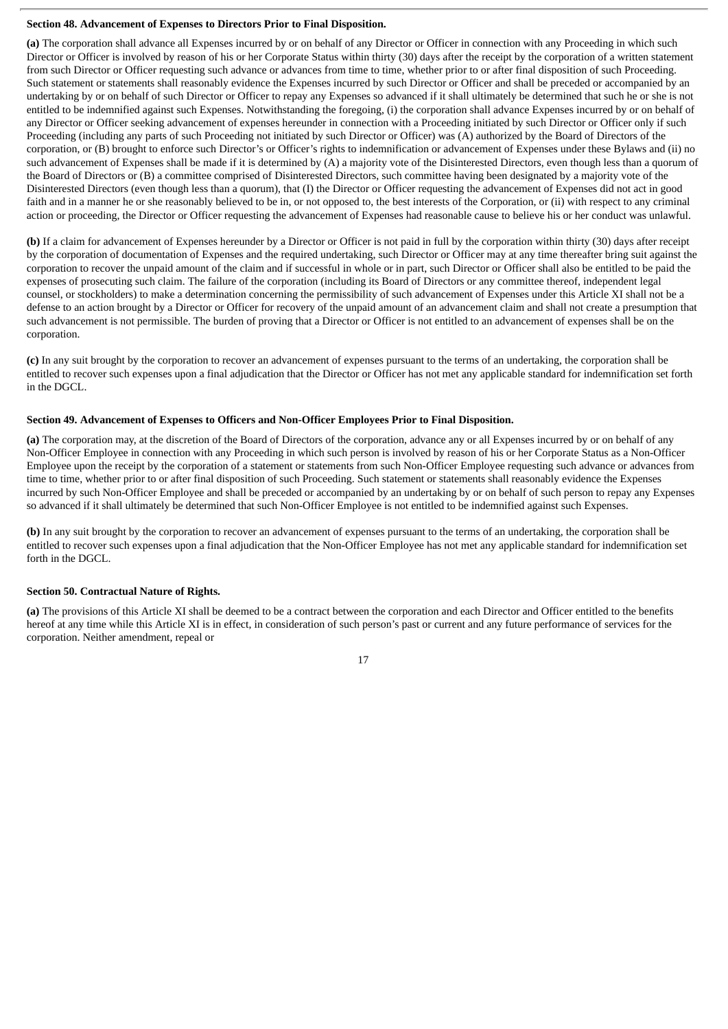#### **Section 48. Advancement of Expenses to Directors Prior to Final Disposition.**

**(a)** The corporation shall advance all Expenses incurred by or on behalf of any Director or Officer in connection with any Proceeding in which such Director or Officer is involved by reason of his or her Corporate Status within thirty (30) days after the receipt by the corporation of a written statement from such Director or Officer requesting such advance or advances from time to time, whether prior to or after final disposition of such Proceeding. Such statement or statements shall reasonably evidence the Expenses incurred by such Director or Officer and shall be preceded or accompanied by an undertaking by or on behalf of such Director or Officer to repay any Expenses so advanced if it shall ultimately be determined that such he or she is not entitled to be indemnified against such Expenses. Notwithstanding the foregoing, (i) the corporation shall advance Expenses incurred by or on behalf of any Director or Officer seeking advancement of expenses hereunder in connection with a Proceeding initiated by such Director or Officer only if such Proceeding (including any parts of such Proceeding not initiated by such Director or Officer) was (A) authorized by the Board of Directors of the corporation, or (B) brought to enforce such Director's or Officer's rights to indemnification or advancement of Expenses under these Bylaws and (ii) no such advancement of Expenses shall be made if it is determined by (A) a majority vote of the Disinterested Directors, even though less than a quorum of the Board of Directors or (B) a committee comprised of Disinterested Directors, such committee having been designated by a majority vote of the Disinterested Directors (even though less than a quorum), that (I) the Director or Officer requesting the advancement of Expenses did not act in good faith and in a manner he or she reasonably believed to be in, or not opposed to, the best interests of the Corporation, or (ii) with respect to any criminal action or proceeding, the Director or Officer requesting the advancement of Expenses had reasonable cause to believe his or her conduct was unlawful.

**(b)** If a claim for advancement of Expenses hereunder by a Director or Officer is not paid in full by the corporation within thirty (30) days after receipt by the corporation of documentation of Expenses and the required undertaking, such Director or Officer may at any time thereafter bring suit against the corporation to recover the unpaid amount of the claim and if successful in whole or in part, such Director or Officer shall also be entitled to be paid the expenses of prosecuting such claim. The failure of the corporation (including its Board of Directors or any committee thereof, independent legal counsel, or stockholders) to make a determination concerning the permissibility of such advancement of Expenses under this Article XI shall not be a defense to an action brought by a Director or Officer for recovery of the unpaid amount of an advancement claim and shall not create a presumption that such advancement is not permissible. The burden of proving that a Director or Officer is not entitled to an advancement of expenses shall be on the corporation.

**(c)** In any suit brought by the corporation to recover an advancement of expenses pursuant to the terms of an undertaking, the corporation shall be entitled to recover such expenses upon a final adjudication that the Director or Officer has not met any applicable standard for indemnification set forth in the DGCL.

#### **Section 49. Advancement of Expenses to Officers and Non-Officer Employees Prior to Final Disposition.**

**(a)** The corporation may, at the discretion of the Board of Directors of the corporation, advance any or all Expenses incurred by or on behalf of any Non-Officer Employee in connection with any Proceeding in which such person is involved by reason of his or her Corporate Status as a Non-Officer Employee upon the receipt by the corporation of a statement or statements from such Non-Officer Employee requesting such advance or advances from time to time, whether prior to or after final disposition of such Proceeding. Such statement or statements shall reasonably evidence the Expenses incurred by such Non-Officer Employee and shall be preceded or accompanied by an undertaking by or on behalf of such person to repay any Expenses so advanced if it shall ultimately be determined that such Non-Officer Employee is not entitled to be indemnified against such Expenses.

**(b)** In any suit brought by the corporation to recover an advancement of expenses pursuant to the terms of an undertaking, the corporation shall be entitled to recover such expenses upon a final adjudication that the Non-Officer Employee has not met any applicable standard for indemnification set forth in the DGCL.

## **Section 50. Contractual Nature of Rights.**

**(a)** The provisions of this Article XI shall be deemed to be a contract between the corporation and each Director and Officer entitled to the benefits hereof at any time while this Article XI is in effect, in consideration of such person's past or current and any future performance of services for the corporation. Neither amendment, repeal or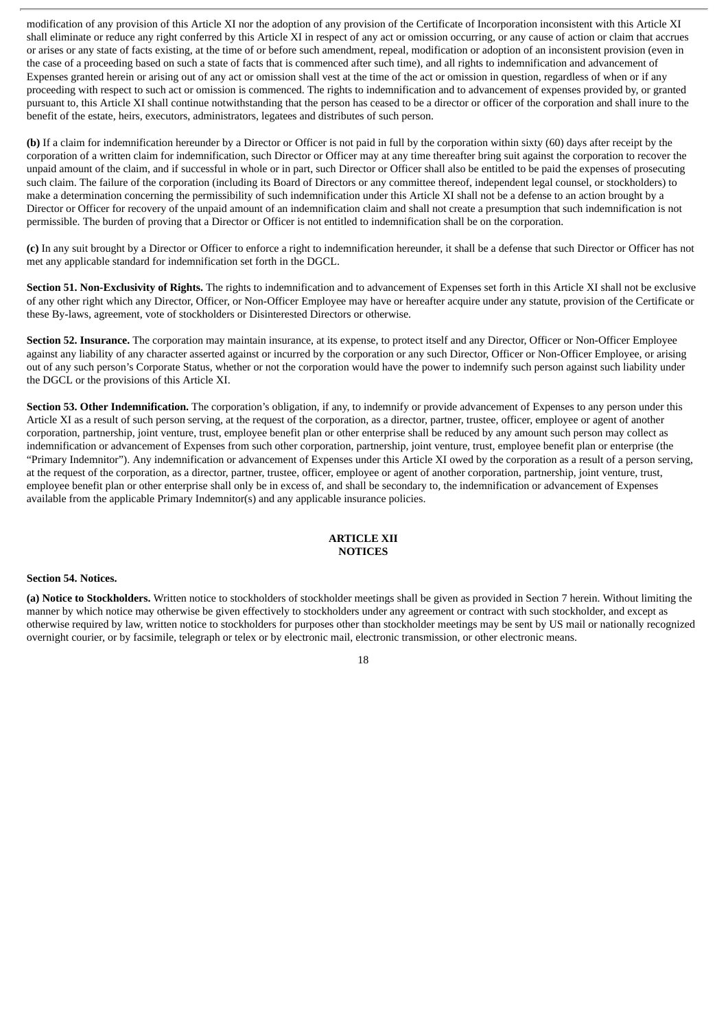modification of any provision of this Article XI nor the adoption of any provision of the Certificate of Incorporation inconsistent with this Article XI shall eliminate or reduce any right conferred by this Article XI in respect of any act or omission occurring, or any cause of action or claim that accrues or arises or any state of facts existing, at the time of or before such amendment, repeal, modification or adoption of an inconsistent provision (even in the case of a proceeding based on such a state of facts that is commenced after such time), and all rights to indemnification and advancement of Expenses granted herein or arising out of any act or omission shall vest at the time of the act or omission in question, regardless of when or if any proceeding with respect to such act or omission is commenced. The rights to indemnification and to advancement of expenses provided by, or granted pursuant to, this Article XI shall continue notwithstanding that the person has ceased to be a director or officer of the corporation and shall inure to the benefit of the estate, heirs, executors, administrators, legatees and distributes of such person.

**(b)** If a claim for indemnification hereunder by a Director or Officer is not paid in full by the corporation within sixty (60) days after receipt by the corporation of a written claim for indemnification, such Director or Officer may at any time thereafter bring suit against the corporation to recover the unpaid amount of the claim, and if successful in whole or in part, such Director or Officer shall also be entitled to be paid the expenses of prosecuting such claim. The failure of the corporation (including its Board of Directors or any committee thereof, independent legal counsel, or stockholders) to make a determination concerning the permissibility of such indemnification under this Article XI shall not be a defense to an action brought by a Director or Officer for recovery of the unpaid amount of an indemnification claim and shall not create a presumption that such indemnification is not permissible. The burden of proving that a Director or Officer is not entitled to indemnification shall be on the corporation.

**(c)** In any suit brought by a Director or Officer to enforce a right to indemnification hereunder, it shall be a defense that such Director or Officer has not met any applicable standard for indemnification set forth in the DGCL.

**Section 51. Non-Exclusivity of Rights.** The rights to indemnification and to advancement of Expenses set forth in this Article XI shall not be exclusive of any other right which any Director, Officer, or Non-Officer Employee may have or hereafter acquire under any statute, provision of the Certificate or these By-laws, agreement, vote of stockholders or Disinterested Directors or otherwise.

**Section 52. Insurance.** The corporation may maintain insurance, at its expense, to protect itself and any Director, Officer or Non-Officer Employee against any liability of any character asserted against or incurred by the corporation or any such Director, Officer or Non-Officer Employee, or arising out of any such person's Corporate Status, whether or not the corporation would have the power to indemnify such person against such liability under the DGCL or the provisions of this Article XI.

**Section 53. Other Indemnification.** The corporation's obligation, if any, to indemnify or provide advancement of Expenses to any person under this Article XI as a result of such person serving, at the request of the corporation, as a director, partner, trustee, officer, employee or agent of another corporation, partnership, joint venture, trust, employee benefit plan or other enterprise shall be reduced by any amount such person may collect as indemnification or advancement of Expenses from such other corporation, partnership, joint venture, trust, employee benefit plan or enterprise (the "Primary Indemnitor"). Any indemnification or advancement of Expenses under this Article XI owed by the corporation as a result of a person serving, at the request of the corporation, as a director, partner, trustee, officer, employee or agent of another corporation, partnership, joint venture, trust, employee benefit plan or other enterprise shall only be in excess of, and shall be secondary to, the indemnification or advancement of Expenses available from the applicable Primary Indemnitor(s) and any applicable insurance policies.

#### **ARTICLE XII NOTICES**

#### **Section 54. Notices.**

**(a) Notice to Stockholders.** Written notice to stockholders of stockholder meetings shall be given as provided in Section 7 herein. Without limiting the manner by which notice may otherwise be given effectively to stockholders under any agreement or contract with such stockholder, and except as otherwise required by law, written notice to stockholders for purposes other than stockholder meetings may be sent by US mail or nationally recognized overnight courier, or by facsimile, telegraph or telex or by electronic mail, electronic transmission, or other electronic means.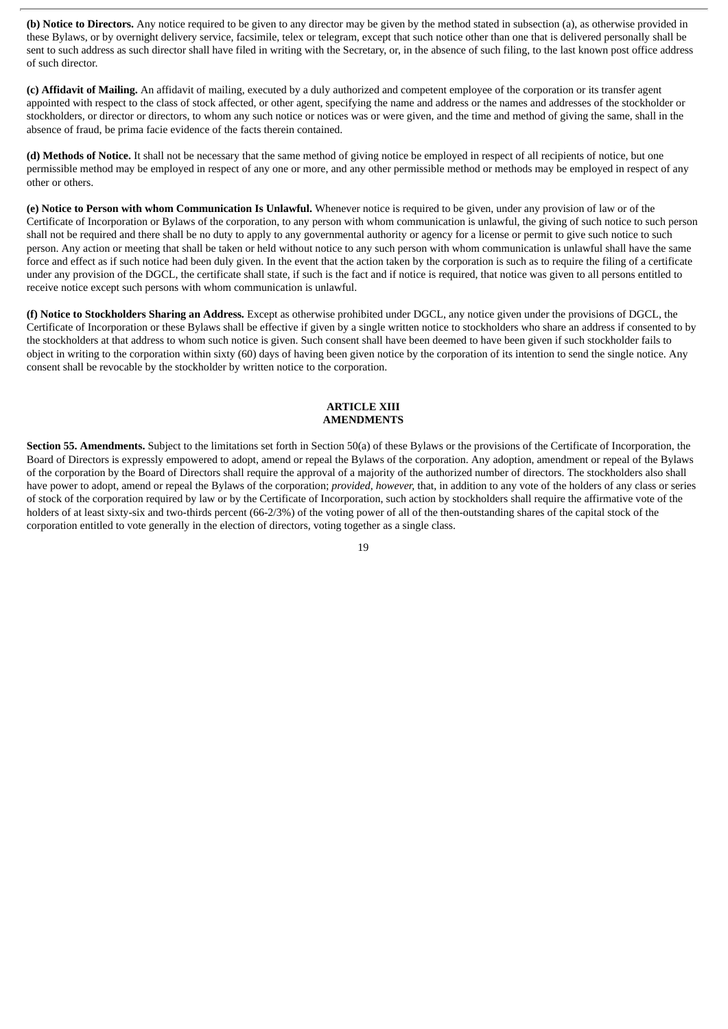**(b) Notice to Directors.** Any notice required to be given to any director may be given by the method stated in subsection (a), as otherwise provided in these Bylaws, or by overnight delivery service, facsimile, telex or telegram, except that such notice other than one that is delivered personally shall be sent to such address as such director shall have filed in writing with the Secretary, or, in the absence of such filing, to the last known post office address of such director.

**(c) Affidavit of Mailing.** An affidavit of mailing, executed by a duly authorized and competent employee of the corporation or its transfer agent appointed with respect to the class of stock affected, or other agent, specifying the name and address or the names and addresses of the stockholder or stockholders, or director or directors, to whom any such notice or notices was or were given, and the time and method of giving the same, shall in the absence of fraud, be prima facie evidence of the facts therein contained.

**(d) Methods of Notice.** It shall not be necessary that the same method of giving notice be employed in respect of all recipients of notice, but one permissible method may be employed in respect of any one or more, and any other permissible method or methods may be employed in respect of any other or others.

**(e) Notice to Person with whom Communication Is Unlawful.** Whenever notice is required to be given, under any provision of law or of the Certificate of Incorporation or Bylaws of the corporation, to any person with whom communication is unlawful, the giving of such notice to such person shall not be required and there shall be no duty to apply to any governmental authority or agency for a license or permit to give such notice to such person. Any action or meeting that shall be taken or held without notice to any such person with whom communication is unlawful shall have the same force and effect as if such notice had been duly given. In the event that the action taken by the corporation is such as to require the filing of a certificate under any provision of the DGCL, the certificate shall state, if such is the fact and if notice is required, that notice was given to all persons entitled to receive notice except such persons with whom communication is unlawful.

**(f) Notice to Stockholders Sharing an Address.** Except as otherwise prohibited under DGCL, any notice given under the provisions of DGCL, the Certificate of Incorporation or these Bylaws shall be effective if given by a single written notice to stockholders who share an address if consented to by the stockholders at that address to whom such notice is given. Such consent shall have been deemed to have been given if such stockholder fails to object in writing to the corporation within sixty (60) days of having been given notice by the corporation of its intention to send the single notice. Any consent shall be revocable by the stockholder by written notice to the corporation.

# **ARTICLE XIII AMENDMENTS**

**Section 55. Amendments.** Subject to the limitations set forth in Section 50(a) of these Bylaws or the provisions of the Certificate of Incorporation, the Board of Directors is expressly empowered to adopt, amend or repeal the Bylaws of the corporation. Any adoption, amendment or repeal of the Bylaws of the corporation by the Board of Directors shall require the approval of a majority of the authorized number of directors. The stockholders also shall have power to adopt, amend or repeal the Bylaws of the corporation; *provided, however,* that, in addition to any vote of the holders of any class or series of stock of the corporation required by law or by the Certificate of Incorporation, such action by stockholders shall require the affirmative vote of the holders of at least sixty-six and two-thirds percent (66-2/3%) of the voting power of all of the then-outstanding shares of the capital stock of the corporation entitled to vote generally in the election of directors, voting together as a single class.